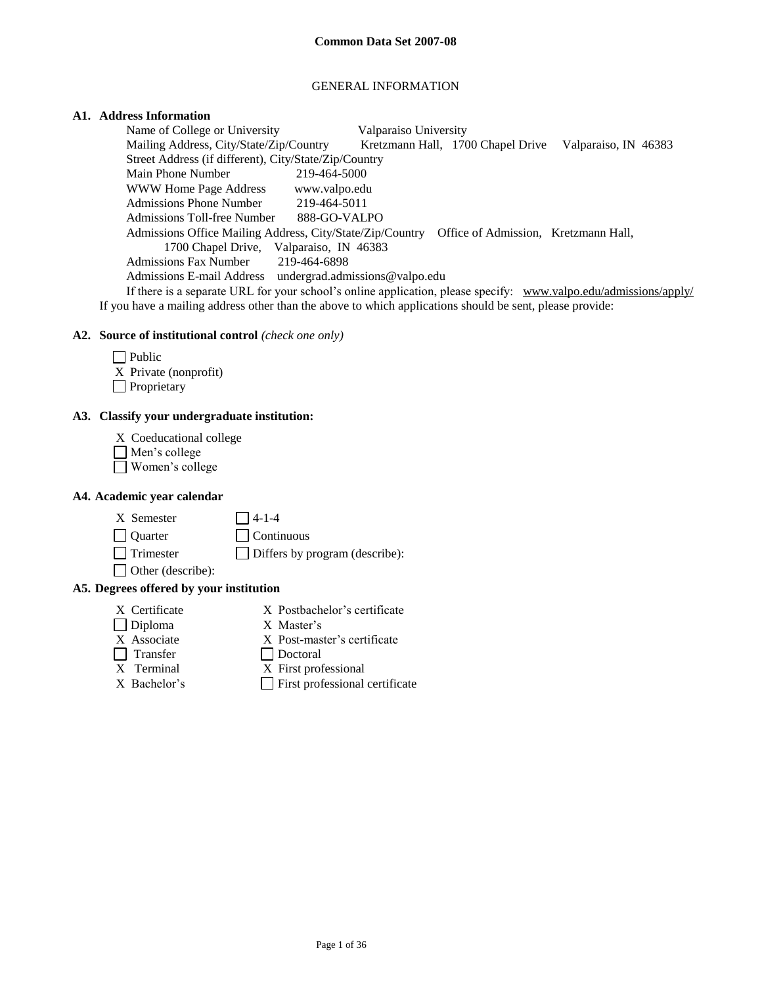# GENERAL INFORMATION

# **A1. Address Information**

Name of College or University Valparaiso University Mailing Address, City/State/Zip/Country Kretzmann Hall, 1700 Chapel Drive Valparaiso, IN 46383 Street Address (if different), City/State/Zip/Country Main Phone Number 219-464-5000 WWW Home Page Address www.valpo.edu Admissions Phone Number 219-464-5011 Admissions Toll-free Number 888-GO-VALPO Admissions Office Mailing Address, City/State/Zip/Country Office of Admission, Kretzmann Hall, 1700 Chapel Drive, Valparaiso, IN 46383 Admissions Fax Number 219-464-6898 Admissions E-mail Address undergrad.admissions@valpo.edu If there is a separate URL for your school's online application, please specify: [www.valpo.edu/admissions/apply/](http://www.valpo.edu/admissions/apply/) 

If you have a mailing address other than the above to which applications should be sent, please provide:

## **A2. Source of institutional control** *(check one only)*

 $\Box$  Public X Private (nonprofit) **Proprietary** 

## **A3. Classify your undergraduate institution:**

- X Coeducational college
- Men's college
- Women's college

### **A4. Academic year calendar**

 $X$  Semester  $\qquad \qquad \Box$  4-1-4

Quarter Continuous

Trimester Differs by program (describe):

Other (describe):

# **A5. Degrees offered by your institution**

- 
- X Certificate X Postbachelor's certificate
- Diploma X Master's
- X Associate X Post-master's certificate
- 
- Transfer Doctoral
- X Terminal X First professional
- 
- $X$  Bachelor's **First professional certificate**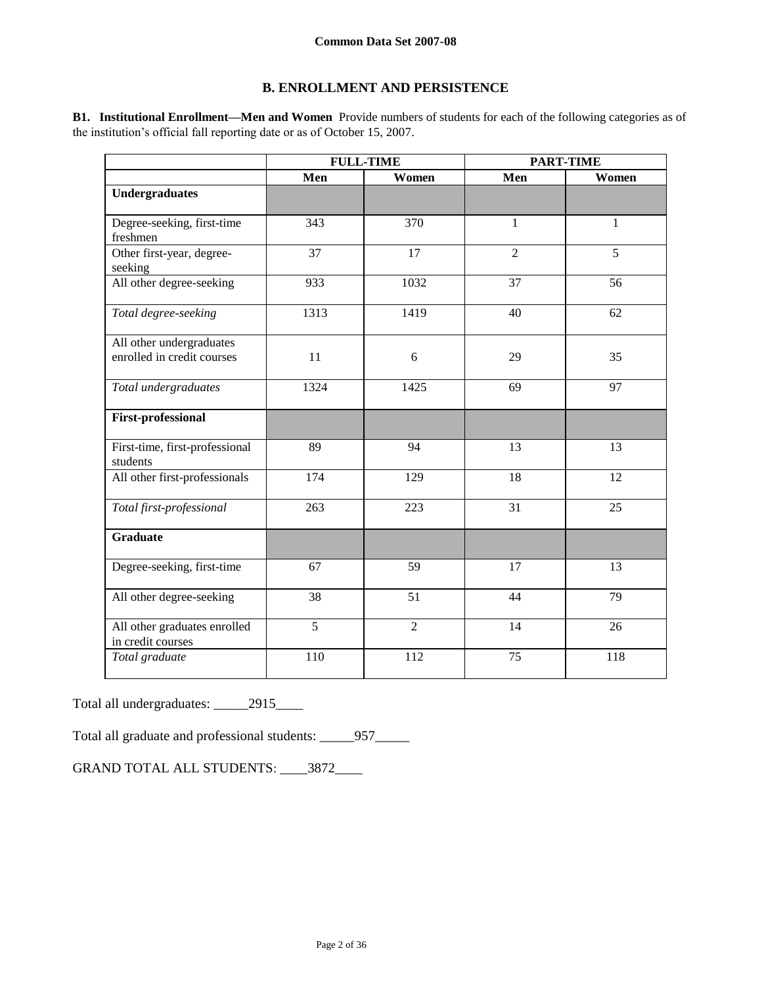# **B. ENROLLMENT AND PERSISTENCE**

**B1. Institutional Enrollment—Men and Women** Provide numbers of students for each of the following categories as of the institution's official fall reporting date or as of October 15, 2007.

|                                                   |                | <b>FULL-TIME</b> |                | <b>PART-TIME</b> |
|---------------------------------------------------|----------------|------------------|----------------|------------------|
|                                                   | Men            | Women            | Men            | Women            |
| <b>Undergraduates</b>                             |                |                  |                |                  |
| Degree-seeking, first-time<br>freshmen            | 343            | 370              | $\mathbf{1}$   | $\mathbf{1}$     |
| Other first-year, degree-<br>seeking              | 37             | 17               | $\overline{2}$ | 5                |
| All other degree-seeking                          | 933            | 1032             | 37             | 56               |
| Total degree-seeking                              | 1313           | 1419             | 40             | 62               |
| All other undergraduates                          |                |                  |                |                  |
| enrolled in credit courses                        | 11             | 6                | 29             | 35               |
| Total undergraduates                              | 1324           | 1425             | 69             | 97               |
| <b>First-professional</b>                         |                |                  |                |                  |
| First-time, first-professional<br>students        | 89             | 94               | 13             | 13               |
| All other first-professionals                     | 174            | 129              | 18             | 12               |
| Total first-professional                          | 263            | 223              | 31             | 25               |
| <b>Graduate</b>                                   |                |                  |                |                  |
| Degree-seeking, first-time                        | 67             | 59               | 17             | 13               |
| All other degree-seeking                          | 38             | 51               | 44             | 79               |
| All other graduates enrolled<br>in credit courses | $\overline{5}$ | $\overline{2}$   | 14             | 26               |
| Total graduate                                    | 110            | 112              | 75             | 118              |

Total all undergraduates: \_\_\_\_\_2915\_\_\_\_

Total all graduate and professional students: \_\_\_\_\_957\_\_\_\_\_

GRAND TOTAL ALL STUDENTS: \_\_\_\_3872\_\_\_\_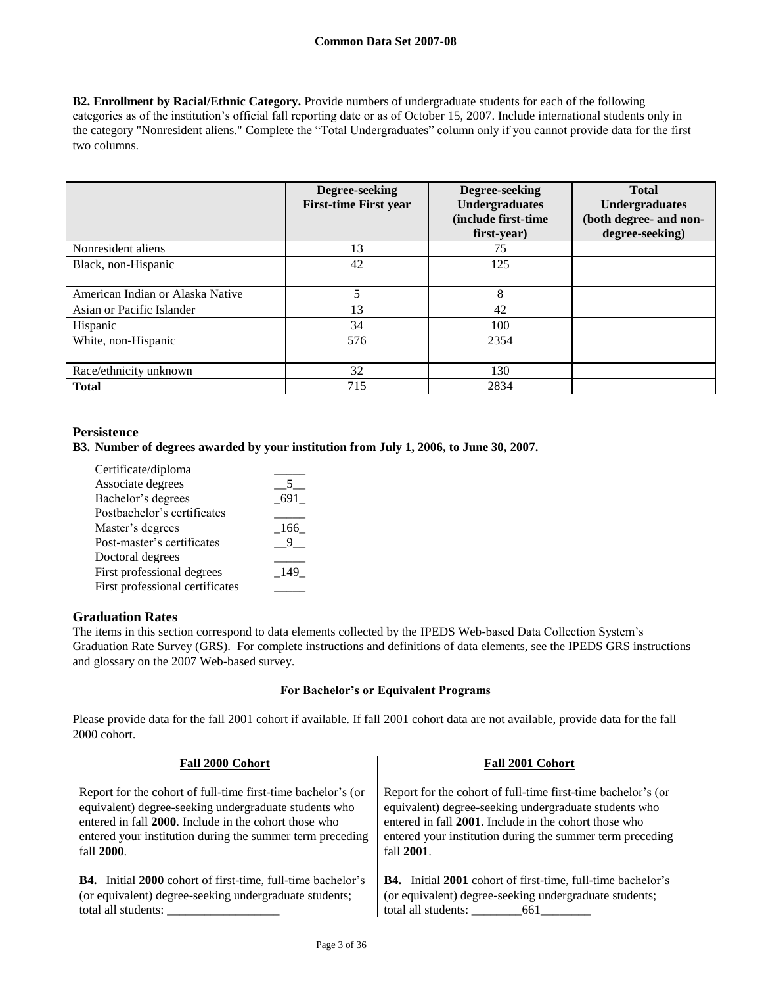**B2. Enrollment by Racial/Ethnic Category.** Provide numbers of undergraduate students for each of the following categories as of the institution's official fall reporting date or as of October 15, 2007. Include international students only in the category "Nonresident aliens." Complete the "Total Undergraduates" column only if you cannot provide data for the first two columns.

|                                  | Degree-seeking<br><b>First-time First year</b> | Degree-seeking<br><b>Undergraduates</b><br>(include first-time<br>first-year) | <b>Total</b><br><b>Undergraduates</b><br>(both degree- and non-<br>degree-seeking) |
|----------------------------------|------------------------------------------------|-------------------------------------------------------------------------------|------------------------------------------------------------------------------------|
| Nonresident aliens               | 13                                             | 75                                                                            |                                                                                    |
| Black, non-Hispanic              | 42                                             | 125                                                                           |                                                                                    |
| American Indian or Alaska Native | 5                                              | 8                                                                             |                                                                                    |
| Asian or Pacific Islander        | 13                                             | 42                                                                            |                                                                                    |
| Hispanic                         | 34                                             | 100                                                                           |                                                                                    |
| White, non-Hispanic              | 576                                            | 2354                                                                          |                                                                                    |
| Race/ethnicity unknown           | 32                                             | 130                                                                           |                                                                                    |
| <b>Total</b>                     | 715                                            | 2834                                                                          |                                                                                    |

# **Persistence**

**B3. Number of degrees awarded by your institution from July 1, 2006, to June 30, 2007.**

| Certificate/diploma             |       |
|---------------------------------|-------|
| Associate degrees               |       |
| Bachelor's degrees              | 691   |
| Postbachelor's certificates     |       |
| Master's degrees                | - 166 |
| Post-master's certificates      |       |
| Doctoral degrees                |       |
| First professional degrees      | -149  |
| First professional certificates |       |

# **Graduation Rates**

The items in this section correspond to data elements collected by the IPEDS Web-based Data Collection System's Graduation Rate Survey (GRS). For complete instructions and definitions of data elements, see the IPEDS GRS instructions and glossary on the 2007 Web-based survey.

### **For Bachelor's or Equivalent Programs**

Please provide data for the fall 2001 cohort if available. If fall 2001 cohort data are not available, provide data for the fall 2000 cohort.

| Fall 2000 Cohort                                                   | <b>Fall 2001 Cohort</b>                                            |
|--------------------------------------------------------------------|--------------------------------------------------------------------|
| Report for the cohort of full-time first-time bachelor's (or       | Report for the cohort of full-time first-time bachelor's (or       |
| equivalent) degree-seeking undergraduate students who              | equivalent) degree-seeking undergraduate students who              |
| entered in fall 2000. Include in the cohort those who              | entered in fall 2001. Include in the cohort those who              |
| entered your institution during the summer term preceding          | entered your institution during the summer term preceding          |
| fall 2000.                                                         | fall 2001.                                                         |
| <b>B4.</b> Initial 2000 cohort of first-time, full-time bachelor's | <b>B4.</b> Initial 2001 cohort of first-time, full-time bachelor's |
| (or equivalent) degree-seeking undergraduate students;             | (or equivalent) degree-seeking undergraduate students;             |
| total all students:                                                |                                                                    |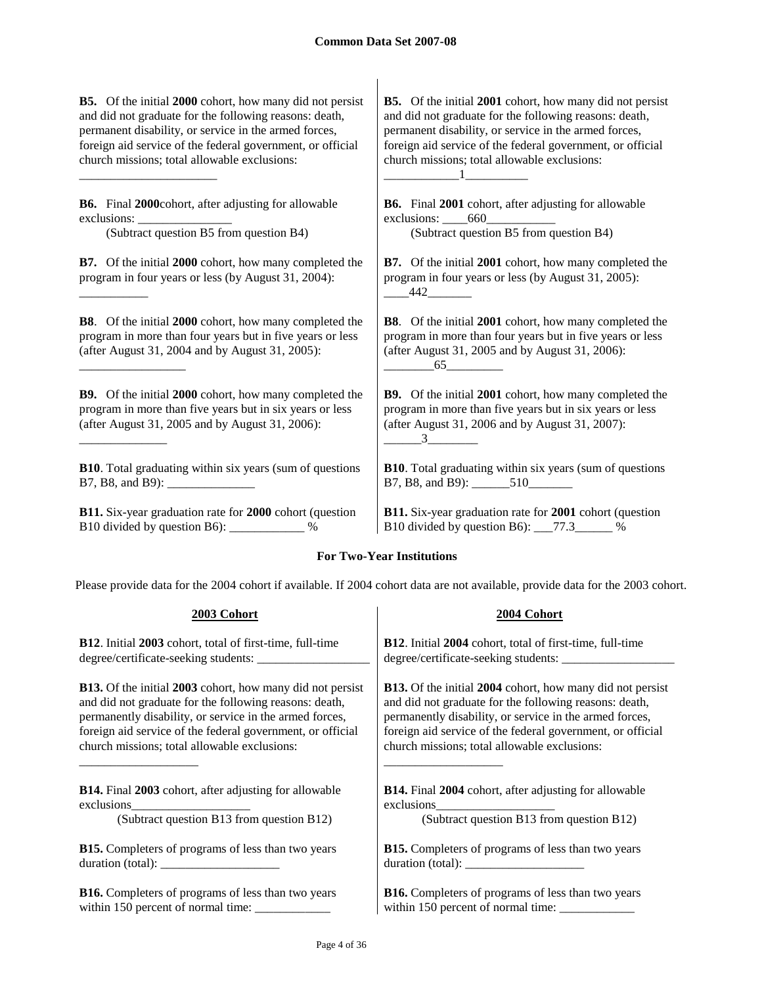**B5.** Of the initial **2000** cohort, how many did not persist and did not graduate for the following reasons: death, permanent disability, or service in the armed forces, foreign aid service of the federal government, or official church missions; total allowable exclusions:

**B6.** Final **2000**cohort, after adjusting for allowable exclusions:

(Subtract question B5 from question B4) (Subtract question B5 from question B4)

\_\_\_\_\_\_\_\_\_\_\_\_\_\_\_\_\_\_\_\_\_\_

\_\_\_\_\_\_\_\_\_\_\_

\_\_\_\_\_\_\_\_\_\_\_\_\_\_\_\_\_

\_\_\_\_\_\_\_\_\_\_\_\_\_\_

**B7.** Of the initial **2000** cohort, how many completed the program in four years or less (by August 31, 2004):

**B8**. Of the initial **2000** cohort, how many completed the program in more than four years but in five years or less (after August 31, 2004 and by August 31, 2005):

**B9.** Of the initial **2000** cohort, how many completed the program in more than five years but in six years or less (after August 31, 2005 and by August 31, 2006):

**B10**. Total graduating within six years (sum of questions B7, B8, and B9):

**B11.** Six-year graduation rate for **2000** cohort (question B10 divided by question B6): \_\_\_\_\_\_\_\_\_\_\_\_ %

**B5.** Of the initial **2001** cohort, how many did not persist and did not graduate for the following reasons: death, permanent disability, or service in the armed forces, foreign aid service of the federal government, or official church missions; total allowable exclusions: \_\_\_\_\_\_\_\_\_\_\_\_1\_\_\_\_\_\_\_\_\_\_

**B6.** Final **2001** cohort, after adjusting for allowable exclusions: \_\_\_\_660\_\_\_\_\_\_\_\_\_\_\_

**B7.** Of the initial **2001** cohort, how many completed the program in four years or less (by August 31, 2005):  $-442$ 

**B8**. Of the initial **2001** cohort, how many completed the program in more than four years but in five years or less (after August 31, 2005 and by August 31, 2006):  $65$ 

**B9.** Of the initial **2001** cohort, how many completed the program in more than five years but in six years or less (after August 31, 2006 and by August 31, 2007):  $3$ 

**B10**. Total graduating within six years (sum of questions B7, B8, and B9): 510

**B11.** Six-year graduation rate for **2001** cohort (question B10 divided by question B6): \_\_\_77.3\_\_\_\_\_\_ %

# **For Two-Year Institutions**

Please provide data for the 2004 cohort if available. If 2004 cohort data are not available, provide data for the 2003 cohort.

| 2003 Cohort                                                      | 2004 Cohort                                                          |
|------------------------------------------------------------------|----------------------------------------------------------------------|
| <b>B12.</b> Initial 2003 cohort, total of first-time, full-time  | <b>B12.</b> Initial 2004 cohort, total of first-time, full-time      |
|                                                                  |                                                                      |
| <b>B13.</b> Of the initial 2003 cohort, how many did not persist | <b>B13.</b> Of the initial 2004 cohort, how many did not persist     |
| and did not graduate for the following reasons: death,           | and did not graduate for the following reasons: death,               |
| permanently disability, or service in the armed forces,          | permanently disability, or service in the armed forces,              |
| foreign aid service of the federal government, or official       | foreign aid service of the federal government, or official           |
| church missions; total allowable exclusions:                     | church missions; total allowable exclusions:                         |
| <b>B14.</b> Final 2003 cohort, after adjusting for allowable     | <b>B14.</b> Final 2004 cohort, after adjusting for allowable         |
| exclusions                                                       | exclusions                                                           |
| (Subtract question B13 from question B12)                        | (Subtract question B13 from question B12)                            |
| <b>B15.</b> Completers of programs of less than two years        | <b>B15.</b> Completers of programs of less than two years            |
|                                                                  | duration (total): $\frac{1}{\sqrt{1-\frac{1}{2}} \cdot \frac{1}{2}}$ |
| <b>B16.</b> Completers of programs of less than two years        | <b>B16.</b> Completers of programs of less than two years            |
| within 150 percent of normal time: _____________                 |                                                                      |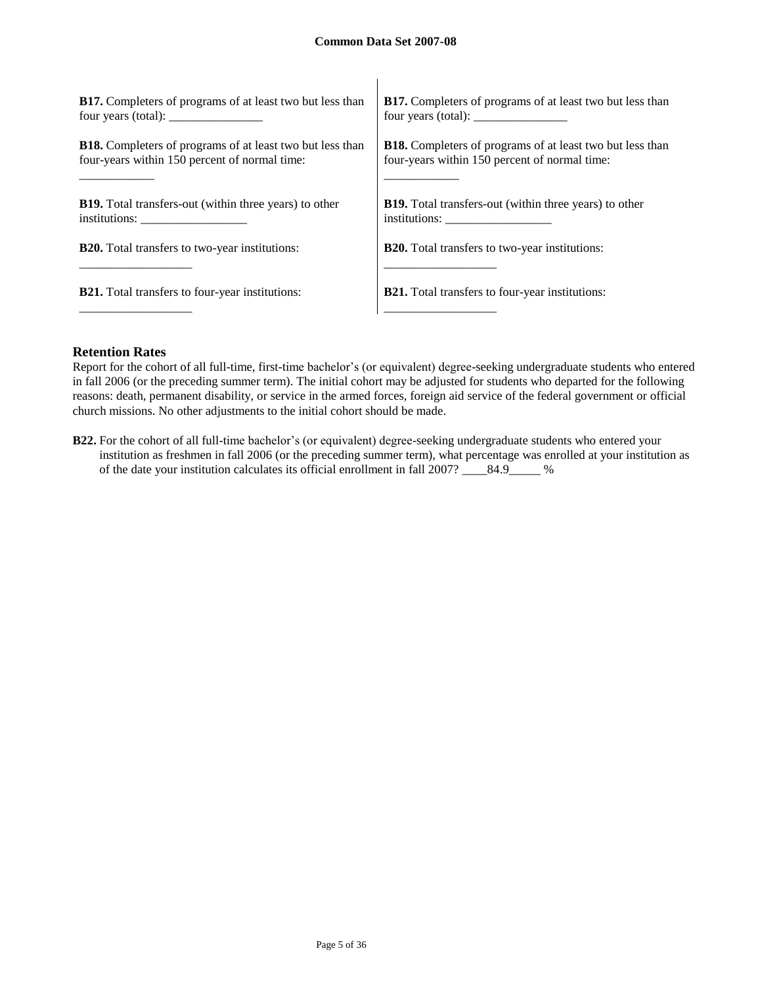| <b>B17.</b> Completers of programs of at least two but less than                                                                                                                                                                                                                                  | <b>B17.</b> Completers of programs of at least two but less than                                                                                                                                                                                                                                  |
|---------------------------------------------------------------------------------------------------------------------------------------------------------------------------------------------------------------------------------------------------------------------------------------------------|---------------------------------------------------------------------------------------------------------------------------------------------------------------------------------------------------------------------------------------------------------------------------------------------------|
| four years (total): $\frac{1}{2}$ = $\frac{1}{2}$ = $\frac{1}{2}$ = $\frac{1}{2}$ = $\frac{1}{2}$ = $\frac{1}{2}$ = $\frac{1}{2}$ = $\frac{1}{2}$ = $\frac{1}{2}$ = $\frac{1}{2}$ = $\frac{1}{2}$ = $\frac{1}{2}$ = $\frac{1}{2}$ = $\frac{1}{2}$ = $\frac{1}{2}$ = $\frac{1}{2}$ = $\frac{1}{2}$ | four years (total): $\frac{1}{2}$ = $\frac{1}{2}$ = $\frac{1}{2}$ = $\frac{1}{2}$ = $\frac{1}{2}$ = $\frac{1}{2}$ = $\frac{1}{2}$ = $\frac{1}{2}$ = $\frac{1}{2}$ = $\frac{1}{2}$ = $\frac{1}{2}$ = $\frac{1}{2}$ = $\frac{1}{2}$ = $\frac{1}{2}$ = $\frac{1}{2}$ = $\frac{1}{2}$ = $\frac{1}{2}$ |
| <b>B18.</b> Completers of programs of at least two but less than                                                                                                                                                                                                                                  | <b>B18.</b> Completers of programs of at least two but less than                                                                                                                                                                                                                                  |
| four-years within 150 percent of normal time:                                                                                                                                                                                                                                                     | four-years within 150 percent of normal time:                                                                                                                                                                                                                                                     |
| <b>B19.</b> Total transfers-out (within three years) to other                                                                                                                                                                                                                                     | <b>B19.</b> Total transfers-out (within three years) to other                                                                                                                                                                                                                                     |
| $institutions: \_\_\_\_\_\_\_\_\_\_\_\_\_\_\_\_\_\_\_\_\_$                                                                                                                                                                                                                                        |                                                                                                                                                                                                                                                                                                   |
| <b>B20.</b> Total transfers to two-year institutions:                                                                                                                                                                                                                                             | <b>B20.</b> Total transfers to two-year institutions:                                                                                                                                                                                                                                             |
| <b>B21.</b> Total transfers to four-year institutions:                                                                                                                                                                                                                                            | <b>B21.</b> Total transfers to four-year institutions:                                                                                                                                                                                                                                            |

## **Retention Rates**

Report for the cohort of all full-time, first-time bachelor's (or equivalent) degree-seeking undergraduate students who entered in fall 2006 (or the preceding summer term). The initial cohort may be adjusted for students who departed for the following reasons: death, permanent disability, or service in the armed forces, foreign aid service of the federal government or official church missions. No other adjustments to the initial cohort should be made.

**B22.** For the cohort of all full-time bachelor's (or equivalent) degree-seeking undergraduate students who entered your institution as freshmen in fall 2006 (or the preceding summer term), what percentage was enrolled at your institution as of the date your institution calculates its official enrollment in fall 2007? \_\_\_\_84.9\_\_\_\_\_ %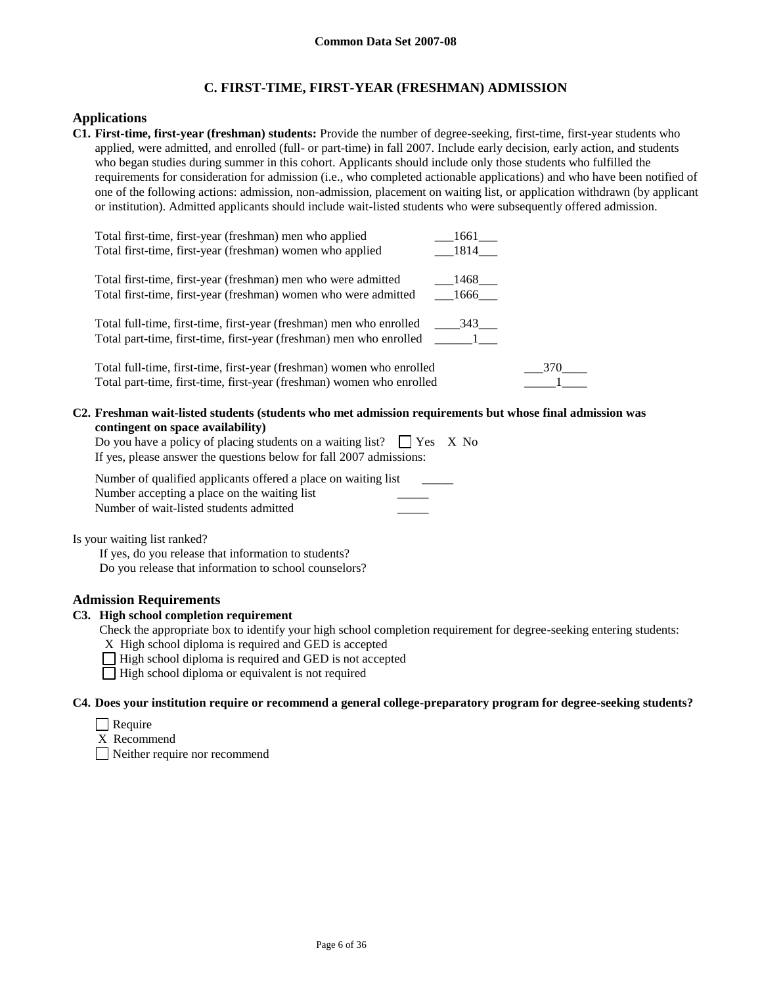# **C. FIRST-TIME, FIRST-YEAR (FRESHMAN) ADMISSION**

## **Applications**

**C1. First-time, first-year (freshman) students:** Provide the number of degree-seeking, first-time, first-year students who applied, were admitted, and enrolled (full- or part-time) in fall 2007. Include early decision, early action, and students who began studies during summer in this cohort. Applicants should include only those students who fulfilled the requirements for consideration for admission (i.e., who completed actionable applications) and who have been notified of one of the following actions: admission, non-admission, placement on waiting list, or application withdrawn (by applicant or institution). Admitted applicants should include wait-listed students who were subsequently offered admission.

| Total first-time, first-year (freshman) men who applied<br>Total first-time, first-year (freshman) women who applied                           | 1661<br>1814 |     |
|------------------------------------------------------------------------------------------------------------------------------------------------|--------------|-----|
| Total first-time, first-year (freshman) men who were admitted<br>Total first-time, first-year (freshman) women who were admitted               | 1468<br>1666 |     |
| Total full-time, first-time, first-year (freshman) men who enrolled<br>Total part-time, first-time, first-year (freshman) men who enrolled     | 343          |     |
| Total full-time, first-time, first-year (freshman) women who enrolled<br>Total part-time, first-time, first-year (freshman) women who enrolled |              | 370 |

#### **C2. Freshman wait-listed students (students who met admission requirements but whose final admission was contingent on space availability)**

| Do you have a policy of placing students on a waiting list? $\Box$ Yes X No |  |
|-----------------------------------------------------------------------------|--|
| If yes, please answer the questions below for fall 2007 admissions:         |  |

Number of qualified applicants offered a place on waiting list Number accepting a place on the waiting list Number of wait-listed students admitted \_\_\_\_\_

Is your waiting list ranked?

If yes, do you release that information to students? Do you release that information to school counselors?

# **Admission Requirements**

## **C3. High school completion requirement**

Check the appropriate box to identify your high school completion requirement for degree-seeking entering students:

X High school diploma is required and GED is accepted

 $\Box$  High school diploma is required and GED is not accepted

 $\Box$  High school diploma or equivalent is not required

### **C4. Does your institution require or recommend a general college-preparatory program for degree-seeking students?**

- $\Box$  Require
- X Recommend

Neither require nor recommend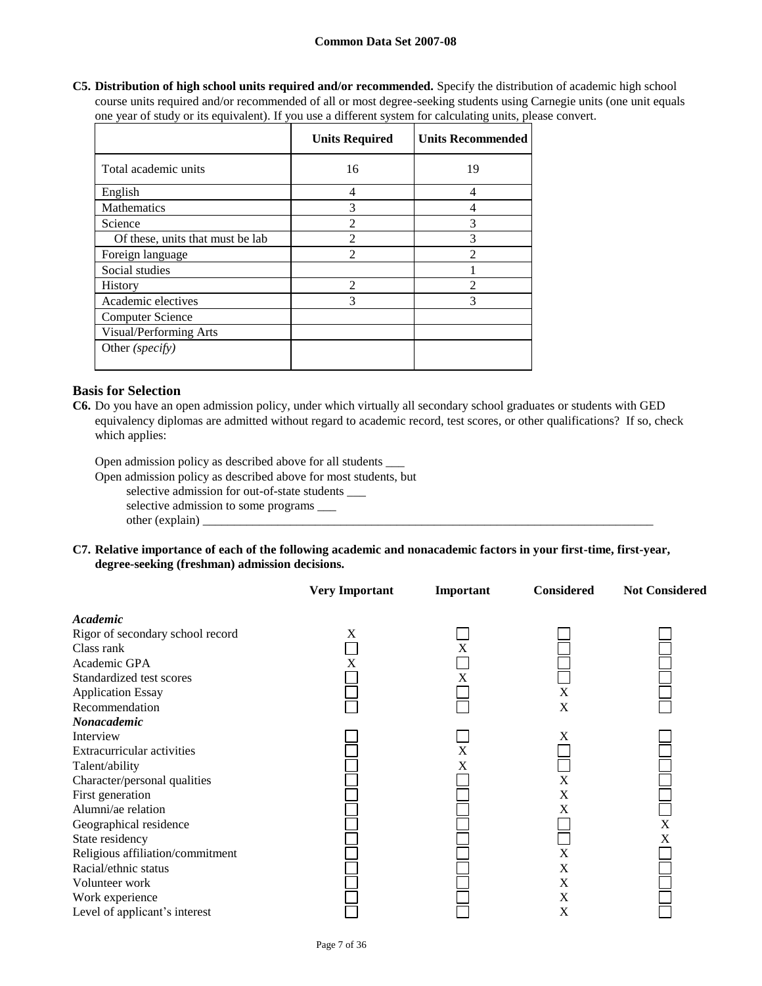**C5. Distribution of high school units required and/or recommended.** Specify the distribution of academic high school course units required and/or recommended of all or most degree-seeking students using Carnegie units (one unit equals one year of study or its equivalent). If you use a different system for calculating units, please convert.

|                                  | <b>Units Required</b>       | <b>Units Recommended</b>    |
|----------------------------------|-----------------------------|-----------------------------|
| Total academic units             | 16                          | 19                          |
| English                          | 4                           | 4                           |
| Mathematics                      | 3                           | 4                           |
| Science                          | $\mathfrak{D}$              | 3                           |
| Of these, units that must be lab | $\mathfrak{D}$              | 3                           |
| Foreign language                 | $\mathcal{D}_{\mathcal{L}}$ | $\mathfrak{D}$              |
| Social studies                   |                             |                             |
| <b>History</b>                   | $\mathcal{D}_{\mathcal{L}}$ | $\mathcal{D}_{\mathcal{L}}$ |
| Academic electives               | 3                           | 3                           |
| <b>Computer Science</b>          |                             |                             |
| Visual/Performing Arts           |                             |                             |
| Other (specify)                  |                             |                             |

# **Basis for Selection**

**C6.** Do you have an open admission policy, under which virtually all secondary school graduates or students with GED equivalency diplomas are admitted without regard to academic record, test scores, or other qualifications? If so, check which applies:

Open admission policy as described above for all students \_\_\_

Open admission policy as described above for most students, but

selective admission for out-of-state students \_\_\_

selective admission to some programs \_\_\_ other (explain) \_\_\_\_\_\_\_\_\_\_\_\_\_\_\_\_\_\_\_\_\_\_\_\_\_\_\_\_\_\_\_\_\_\_\_\_\_\_\_\_\_\_\_\_\_\_\_\_\_\_\_\_\_\_\_\_\_\_\_\_\_\_\_\_\_\_\_\_\_\_\_\_

**C7. Relative importance of each of the following academic and nonacademic factors in your first-time, first-year, degree-seeking (freshman) admission decisions.**

|                                  | <b>Very Important</b> | Important | Considered  | <b>Not Considered</b> |
|----------------------------------|-----------------------|-----------|-------------|-----------------------|
| Academic                         |                       |           |             |                       |
| Rigor of secondary school record | X                     |           |             |                       |
| Class rank                       |                       | X         |             |                       |
| Academic GPA                     | X                     |           |             |                       |
| Standardized test scores         |                       | X         |             |                       |
| <b>Application Essay</b>         |                       |           | $\mathbf X$ |                       |
| Recommendation                   |                       |           | X           |                       |
| Nonacademic                      |                       |           |             |                       |
| Interview                        |                       |           | Χ           |                       |
| Extracurricular activities       |                       | X         |             |                       |
| Talent/ability                   |                       | X         |             |                       |
| Character/personal qualities     |                       |           | $\mathbf X$ |                       |
| First generation                 |                       |           | X           |                       |
| Alumni/ae relation               |                       |           | X           |                       |
| Geographical residence           |                       |           |             | $\mathbf X$           |
| State residency                  |                       |           |             | X                     |
| Religious affiliation/commitment |                       |           | $\mathbf X$ |                       |
| Racial/ethnic status             |                       |           | X           |                       |
| Volunteer work                   |                       |           | X           |                       |
| Work experience                  |                       |           | X           |                       |
| Level of applicant's interest    |                       |           | X           |                       |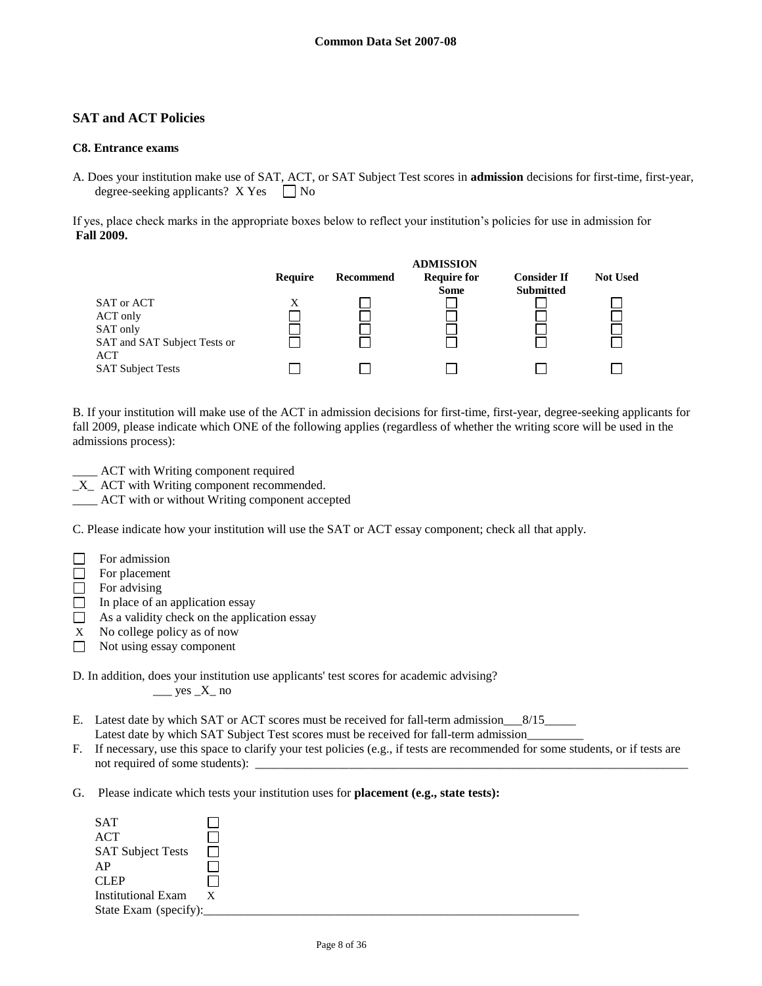# **SAT and ACT Policies**

### **C8. Entrance exams**

A. Does your institution make use of SAT, ACT, or SAT Subject Test scores in **admission** decisions for first-time, first-year, degree-seeking applicants?  $X$  Yes  $\Box$  No

If yes, place check marks in the appropriate boxes below to reflect your institution's policies for use in admission for **Fall 2009.**



B. If your institution will make use of the ACT in admission decisions for first-time, first-year, degree-seeking applicants for fall 2009, please indicate which ONE of the following applies (regardless of whether the writing score will be used in the admissions process):

\_\_\_\_ ACT with Writing component required

 $X$  ACT with Writing component recommended.

\_\_\_\_ ACT with or without Writing component accepted

C. Please indicate how your institution will use the SAT or ACT essay component; check all that apply.

□ For placement

 $\Box$  For advising

- $\Box$  In place of an application essay
- $\Box$  As a validity check on the application essay
- X No college policy as of now
- $\Box$  Not using essay component

D. In addition, does your institution use applicants' test scores for academic advising?  $\_\_\_\$ yes  $\_X\_$  no

E. Latest date by which SAT or ACT scores must be received for fall-term admission\_\_\_8/15\_\_\_\_\_ Latest date by which SAT Subject Test scores must be received for fall-term admission\_\_\_\_\_\_\_\_\_

- F. If necessary, use this space to clarify your test policies (e.g., if tests are recommended for some students, or if tests are not required of some students): \_\_\_\_\_\_\_\_\_\_\_\_\_\_\_\_\_\_\_\_\_\_\_\_\_\_\_\_\_\_\_\_\_\_\_\_\_\_\_\_\_\_\_\_\_\_\_\_\_\_\_\_\_\_\_\_\_\_\_\_\_\_\_\_\_\_\_\_\_
- G. Please indicate which tests your institution uses for **placement (e.g., state tests):**

| <b>SAT</b>               |   |  |  |
|--------------------------|---|--|--|
| <b>ACT</b>               |   |  |  |
| <b>SAT Subject Tests</b> |   |  |  |
| AP                       |   |  |  |
| <b>CLEP</b>              |   |  |  |
| Institutional Exam       | X |  |  |
| State Exam (specify):    |   |  |  |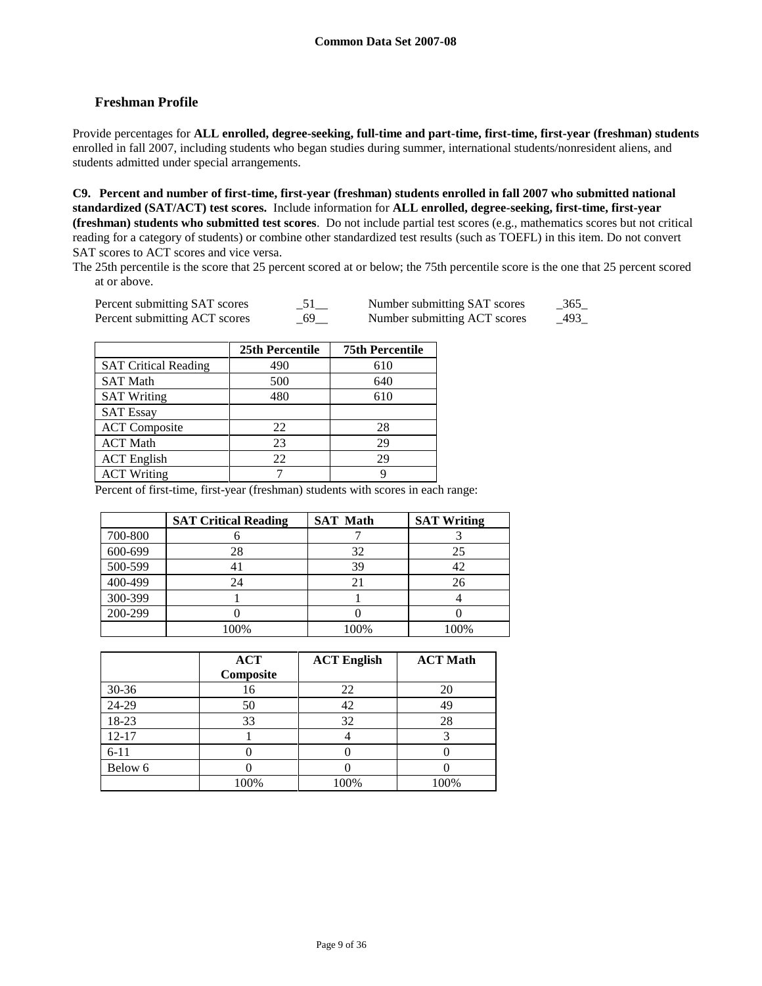# **Freshman Profile**

Provide percentages for **ALL enrolled, degree-seeking, full-time and part-time, first-time, first-year (freshman) students**  enrolled in fall 2007, including students who began studies during summer, international students/nonresident aliens, and students admitted under special arrangements.

**C9. Percent and number of first-time, first-year (freshman) students enrolled in fall 2007 who submitted national standardized (SAT/ACT) test scores.** Include information for **ALL enrolled, degree-seeking, first-time, first-year (freshman) students who submitted test scores**. Do not include partial test scores (e.g., mathematics scores but not critical reading for a category of students) or combine other standardized test results (such as TOEFL) in this item. Do not convert SAT scores to ACT scores and vice versa.

The 25th percentile is the score that 25 percent scored at or below; the 75th percentile score is the one that 25 percent scored at or above.

| Percent submitting SAT scores | Number submitting SAT scores | $-365$ |
|-------------------------------|------------------------------|--------|
| Percent submitting ACT scores | Number submitting ACT scores | 493    |

|                             | 25th Percentile | <b>75th Percentile</b> |
|-----------------------------|-----------------|------------------------|
| <b>SAT Critical Reading</b> | 490             | 610                    |
| <b>SAT Math</b>             | 500             | 640                    |
| <b>SAT Writing</b>          | 480             | 610                    |
| <b>SAT Essay</b>            |                 |                        |
| <b>ACT</b> Composite        | 22              | 28                     |
| <b>ACT</b> Math             | 23              | 29                     |
| <b>ACT</b> English          | 22              | 29                     |
| <b>ACT Writing</b>          |                 |                        |

Percent of first-time, first-year (freshman) students with scores in each range:

|         | <b>SAT Critical Reading</b> | <b>SAT Math</b> | <b>SAT Writing</b> |
|---------|-----------------------------|-----------------|--------------------|
| 700-800 |                             |                 |                    |
| 600-699 | 28                          | 32              | 25                 |
| 500-599 |                             | 39              |                    |
| 400-499 | 24                          | 21              | 26                 |
| 300-399 |                             |                 |                    |
| 200-299 |                             |                 |                    |
|         | 100%                        | 100%            | 100%               |

|           | <b>ACT</b><br>Composite | <b>ACT English</b> | <b>ACT Math</b> |
|-----------|-------------------------|--------------------|-----------------|
| $30 - 36$ | 16                      | 22                 | 20              |
| 24-29     | 50                      | 42                 | 49              |
| 18-23     | 33                      | 32                 | 28              |
| $12 - 17$ |                         |                    |                 |
| $6 - 11$  |                         |                    |                 |
| Below 6   |                         |                    |                 |
|           | 100%                    | 100%               | 100%            |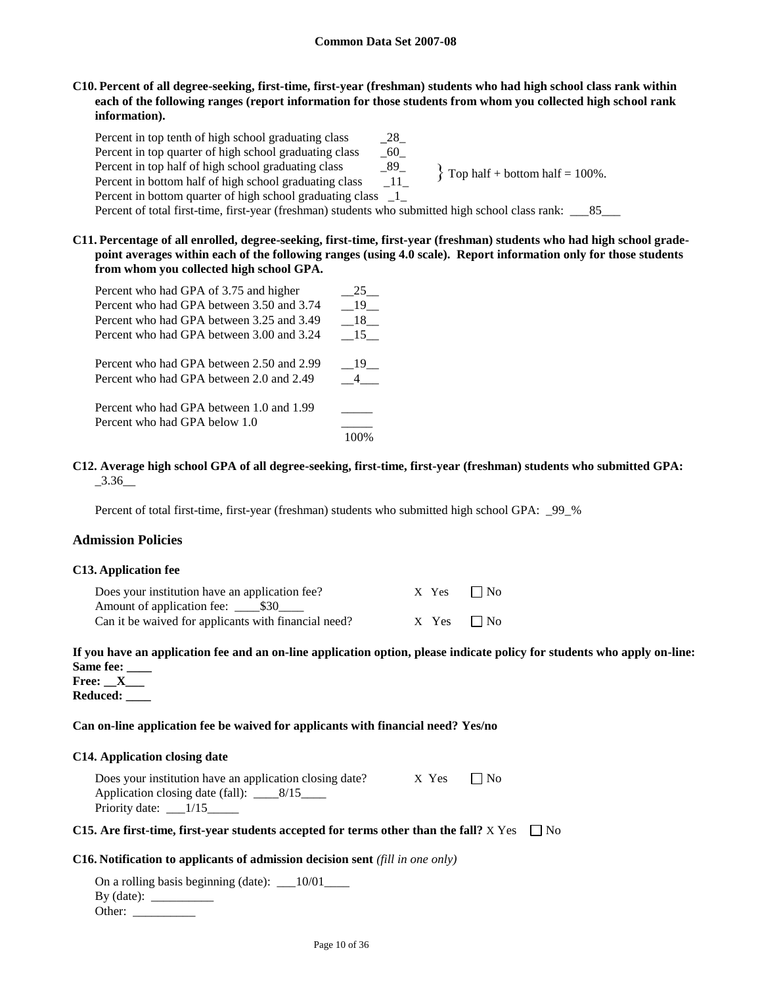## **C10. Percent of all degree-seeking, first-time, first-year (freshman) students who had high school class rank within each of the following ranges (report information for those students from whom you collected high school rank information).**

| Percent in top tenth of high school graduating class                                              | 28     |                                     |
|---------------------------------------------------------------------------------------------------|--------|-------------------------------------|
| Percent in top quarter of high school graduating class                                            | 60     |                                     |
| Percent in top half of high school graduating class                                               | 89     | $\{$ Top half + bottom half = 100%. |
| Percent in bottom half of high school graduating class                                            | - 11 - |                                     |
| Percent in bottom quarter of high school graduating class                                         |        |                                     |
| Percent of total first-time, first-year (freshman) students who submitted high school class rank: |        | 85                                  |

**C11. Percentage of all enrolled, degree-seeking, first-time, first-year (freshman) students who had high school gradepoint averages within each of the following ranges (using 4.0 scale). Report information only for those students from whom you collected high school GPA.**

| Percent who had GPA of 3.75 and higher    | 25   |
|-------------------------------------------|------|
| Percent who had GPA between 3.50 and 3.74 | - 19 |
| Percent who had GPA between 3.25 and 3.49 | 18   |
| Percent who had GPA between 3.00 and 3.24 | 15   |
| Percent who had GPA between 2.50 and 2.99 | - 19 |
| Percent who had GPA between 2.0 and 2.49  |      |
| Percent who had GPA between 1.0 and 1.99  |      |
| Percent who had GPA below 1.0             |      |
|                                           |      |

## **C12. Average high school GPA of all degree-seeking, first-time, first-year (freshman) students who submitted GPA:**  $-3.36$

Percent of total first-time, first-year (freshman) students who submitted high school GPA: \_99\_%

### **Admission Policies**

### **C13. Application fee**

| Does your institution have an application fee?       |  | $X$ Yes $\neg$ No |
|------------------------------------------------------|--|-------------------|
|                                                      |  |                   |
| Can it be waived for applicants with financial need? |  | $X$ Yes $\neg$ No |

# **If you have an application fee and an on-line application option, please indicate policy for students who apply on-line: Same fee: \_\_\_\_**

**Free: \_\_X\_\_\_ Reduced: \_\_\_\_**

### **Can on-line application fee be waived for applicants with financial need? Yes/no**

### **C14. Application closing date**

| Does your institution have an application closing date? | $X$ Yes $\neg$ No |  |
|---------------------------------------------------------|-------------------|--|
|                                                         |                   |  |
| Priority date: $\frac{1}{15}$                           |                   |  |

# **C15.** Are first-time, first-year students accepted for terms other than the fall?  $X$   $Yes \Box No$

### **C16. Notification to applicants of admission decision sent** *(fill in one only)*

On a rolling basis beginning (date): \_\_10/01\_\_\_\_ By (date):  $\frac{1}{\sqrt{1-\frac{1}{2}}\sqrt{1-\frac{1}{2}}\sqrt{1-\frac{1}{2}}\sqrt{1-\frac{1}{2}}}}$ Other: \_\_\_\_\_\_\_\_\_\_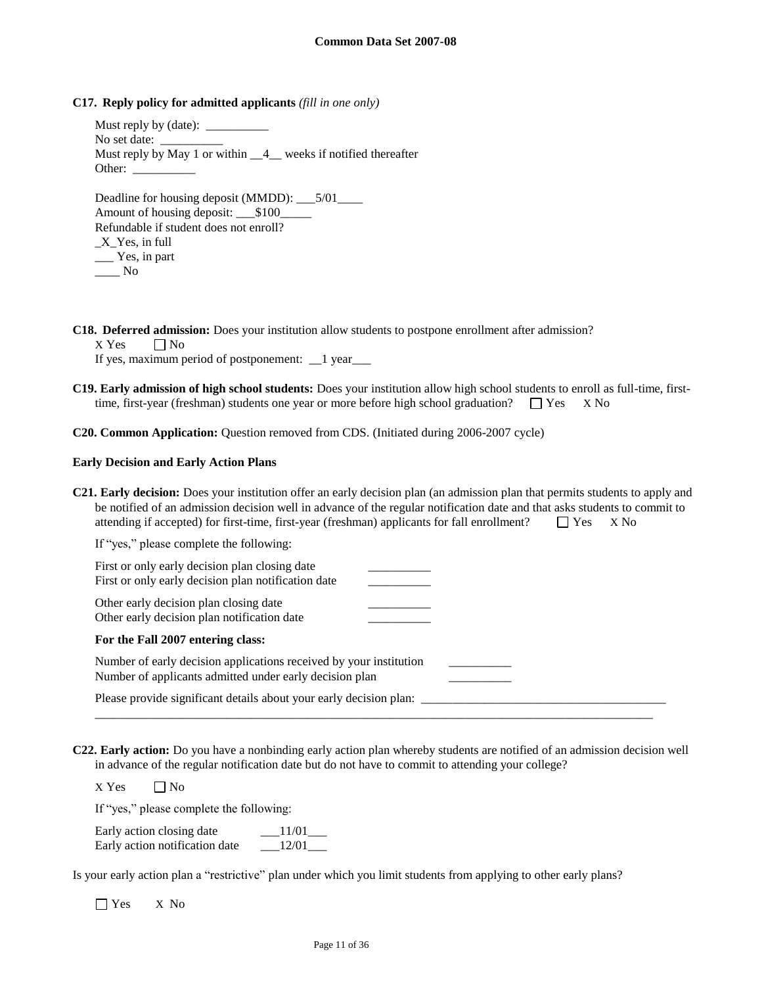**C17. Reply policy for admitted applicants** *(fill in one only)*

Must reply by (date): No set date: Must reply by May 1 or within  $\quad 4$  weeks if notified thereafter Other: Deadline for housing deposit (MMDD): \_\_\_5/01\_\_\_\_

Amount of housing deposit: \_\_\_\$100\_ Refundable if student does not enroll?  $X_Y$ es, in full \_\_\_ Yes, in part  $\_\_$  No

**C18. Deferred admission:** Does your institution allow students to postpone enrollment after admission?

 $X$  Yes  $\Box$  No If yes, maximum period of postponement: \_\_1 year\_\_\_

**C19. Early admission of high school students:** Does your institution allow high school students to enroll as full-time, firsttime, first-year (freshman) students one year or more before high school graduation?  $\Box$  Yes X No

**C20. Common Application:** Question removed from CDS. (Initiated during 2006-2007 cycle)

#### **Early Decision and Early Action Plans**

**C21. Early decision:** Does your institution offer an early decision plan (an admission plan that permits students to apply and be notified of an admission decision well in advance of the regular notification date and that asks students to commit to attending if accepted) for first-time, first-year (freshman) applicants for fall enrollment?  $\Box$  Yes  $\Box$  X No

| If "yes," please complete the following:                                                                                      |  |
|-------------------------------------------------------------------------------------------------------------------------------|--|
| First or only early decision plan closing date<br>First or only early decision plan notification date                         |  |
| Other early decision plan closing date<br>Other early decision plan notification date                                         |  |
| For the Fall 2007 entering class:                                                                                             |  |
| Number of early decision applications received by your institution<br>Number of applicants admitted under early decision plan |  |
| Please provide significant details about your early decision plan:                                                            |  |

**C22. Early action:** Do you have a nonbinding early action plan whereby students are notified of an admission decision well in advance of the regular notification date but do not have to commit to attending your college?

 $X$  Yes  $\Box$  No

If "yes," please complete the following:

| Early action closing date      | 11/01 |
|--------------------------------|-------|
| Early action notification date | 12/01 |

Is your early action plan a "restrictive" plan under which you limit students from applying to other early plans?

Yes X No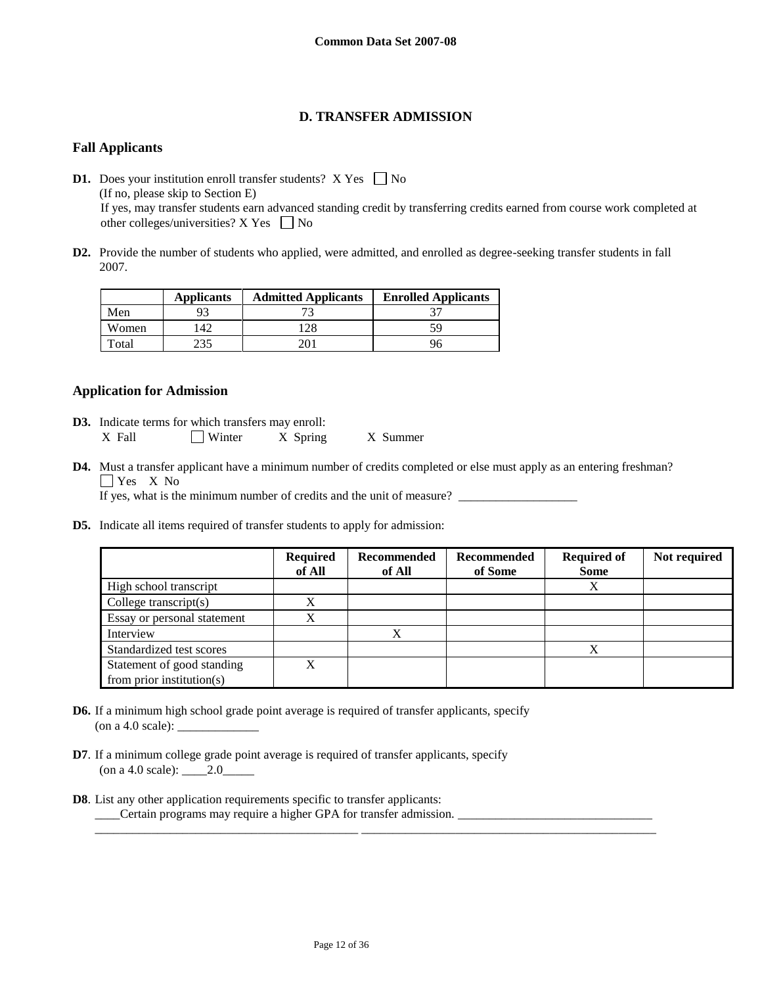# **D. TRANSFER ADMISSION**

# **Fall Applicants**

**D1.** Does your institution enroll transfer students?  $X$  Yes  $\Box$  No (If no, please skip to Section E) If yes, may transfer students earn advanced standing credit by transferring credits earned from course work completed at other colleges/universities?  $X$  Yes  $\Box$  No

**D2.** Provide the number of students who applied, were admitted, and enrolled as degree-seeking transfer students in fall 2007.

|       | <b>Applicants</b> | <b>Admitted Applicants</b> | <b>Enrolled Applicants</b> |
|-------|-------------------|----------------------------|----------------------------|
| Men   |                   |                            |                            |
| Women | 42                | 28                         | 59                         |
| Total |                   |                            | 96                         |

# **Application for Admission**

- **D3.** Indicate terms for which transfers may enroll: X Fall  $\Box$  Winter X Spring X Summer
- **D4.** Must a transfer applicant have a minimum number of credits completed or else must apply as an entering freshman? Yes X<sub>No</sub>

If yes, what is the minimum number of credits and the unit of measure?

**D5.** Indicate all items required of transfer students to apply for admission:

|                               | <b>Required</b><br>of All | Recommended<br>of All | Recommended<br>of Some | <b>Required of</b><br><b>Some</b> | Not required |
|-------------------------------|---------------------------|-----------------------|------------------------|-----------------------------------|--------------|
| High school transcript        |                           |                       |                        | X                                 |              |
| College transcript $(s)$      | X                         |                       |                        |                                   |              |
| Essay or personal statement   | X                         |                       |                        |                                   |              |
| Interview                     |                           | X                     |                        |                                   |              |
| Standardized test scores      |                           |                       |                        | Х                                 |              |
| Statement of good standing    | X                         |                       |                        |                                   |              |
| from prior institution( $s$ ) |                           |                       |                        |                                   |              |

- **D6.** If a minimum high school grade point average is required of transfer applicants, specify (on a 4.0 scale):  $\_\_$
- **D7**. If a minimum college grade point average is required of transfer applicants, specify (on a 4.0 scale): \_\_\_\_2.0\_\_\_\_\_
- **D8**. List any other application requirements specific to transfer applicants: \_\_\_\_Certain programs may require a higher GPA for transfer admission. \_\_\_\_\_\_\_\_\_\_\_\_\_\_\_\_\_\_\_\_\_\_\_\_\_\_\_\_\_\_\_

\_\_\_\_\_\_\_\_\_\_\_\_\_\_\_\_\_\_\_\_\_\_\_\_\_\_\_\_\_\_\_\_\_\_\_\_\_\_\_\_\_\_ \_\_\_\_\_\_\_\_\_\_\_\_\_\_\_\_\_\_\_\_\_\_\_\_\_\_\_\_\_\_\_\_\_\_\_\_\_\_\_\_\_\_\_\_\_\_\_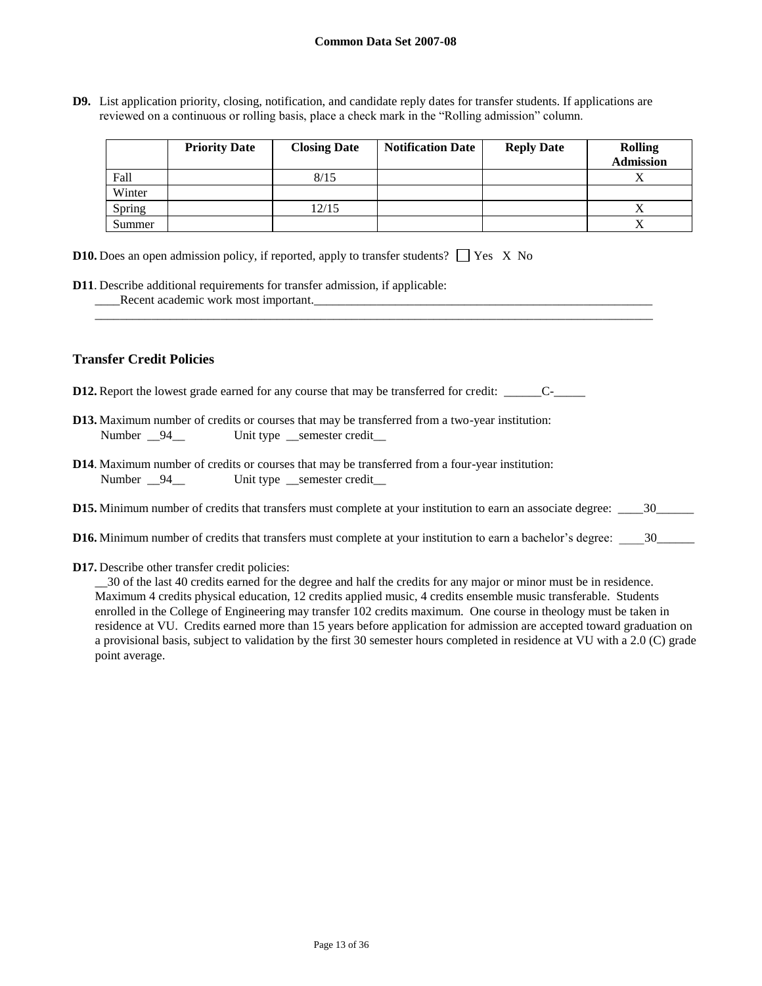**D9.** List application priority, closing, notification, and candidate reply dates for transfer students. If applications are reviewed on a continuous or rolling basis, place a check mark in the "Rolling admission" column.

|        | <b>Priority Date</b> | <b>Closing Date</b> | <b>Notification Date</b> | <b>Reply Date</b> | <b>Rolling</b><br><b>Admission</b> |
|--------|----------------------|---------------------|--------------------------|-------------------|------------------------------------|
| Fall   |                      | 8/15                |                          |                   |                                    |
| Winter |                      |                     |                          |                   |                                    |
| Spring |                      | 12/15               |                          |                   |                                    |
| Summer |                      |                     |                          |                   |                                    |

| <b>D10.</b> Does an open admission policy, if reported, apply to transfer students? $\Box$ Yes X No |  |  |  |  |  |
|-----------------------------------------------------------------------------------------------------|--|--|--|--|--|
|-----------------------------------------------------------------------------------------------------|--|--|--|--|--|

**D11**. Describe additional requirements for transfer admission, if applicable: \_\_\_\_Recent academic work most important.\_\_\_\_\_\_\_\_\_\_\_\_\_\_\_\_\_\_\_\_\_\_\_\_\_\_\_\_\_\_\_\_\_\_\_\_\_\_\_\_\_\_\_\_\_\_\_\_\_\_\_\_\_\_

# **Transfer Credit Policies**

- **D12.** Report the lowest grade earned for any course that may be transferred for credit: \_\_\_\_\_\_C-\_\_\_\_\_
- **D13.** Maximum number of credits or courses that may be transferred from a two-year institution: Number  $\frac{94}{ }$  Unit type semester credit
- **D14**. Maximum number of credits or courses that may be transferred from a four-year institution: Number \_\_94\_\_ Unit type \_\_semester credit\_
- **D15.** Minimum number of credits that transfers must complete at your institution to earn an associate degree: \_\_\_\_30\_\_\_\_\_\_

\_\_\_\_\_\_\_\_\_\_\_\_\_\_\_\_\_\_\_\_\_\_\_\_\_\_\_\_\_\_\_\_\_\_\_\_\_\_\_\_\_\_\_\_\_\_\_\_\_\_\_\_\_\_\_\_\_\_\_\_\_\_\_\_\_\_\_\_\_\_\_\_\_\_\_\_\_\_\_\_\_\_\_\_\_\_\_\_\_

- **D16.** Minimum number of credits that transfers must complete at your institution to earn a bachelor's degree: \_\_\_\_30\_\_\_\_\_\_
- **D17.** Describe other transfer credit policies:

\_\_30 of the last 40 credits earned for the degree and half the credits for any major or minor must be in residence. Maximum 4 credits physical education, 12 credits applied music, 4 credits ensemble music transferable. Students enrolled in the College of Engineering may transfer 102 credits maximum. One course in theology must be taken in residence at VU. Credits earned more than 15 years before application for admission are accepted toward graduation on a provisional basis, subject to validation by the first 30 semester hours completed in residence at VU with a 2.0 (C) grade point average.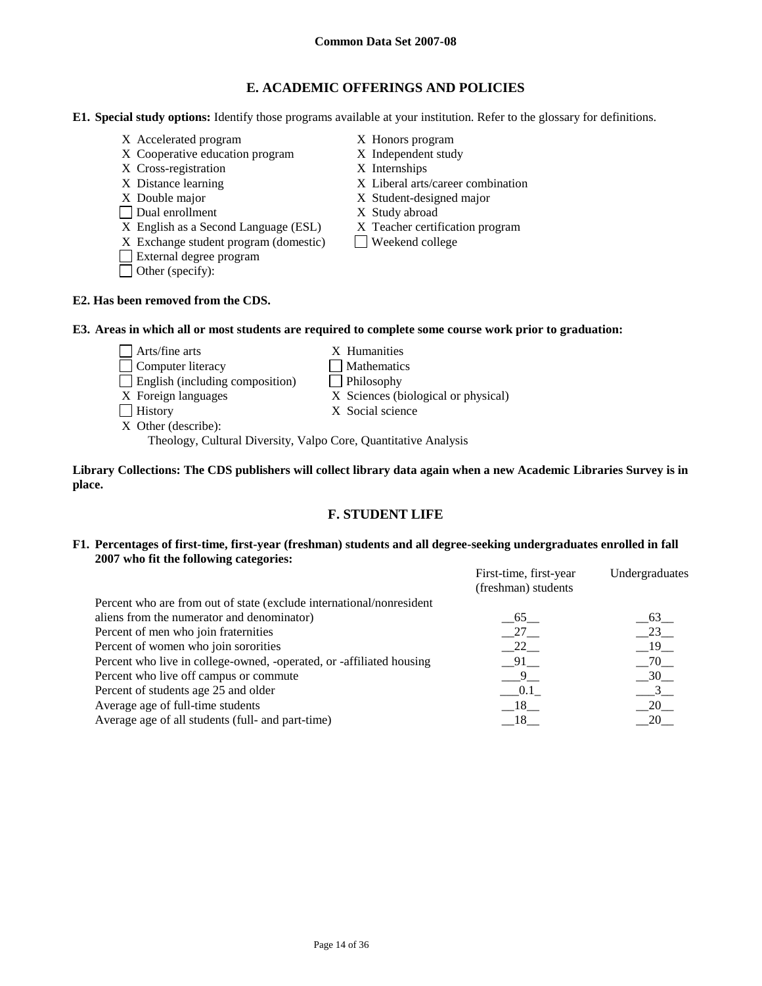# **E. ACADEMIC OFFERINGS AND POLICIES**

**E1. Special study options:** Identify those programs available at your institution. Refer to the glossary for definitions.

- X Accelerated program X Honors program
- X Cooperative education program X Independent study
- X Cross-registration X Internships
- 
- 
- Dual enrollment X Study abroad
- X English as a Second Language (ESL) X Teacher certification program
- $X$  Exchange student program (domestic) Weekend college
- External degree program
- Other (specify):
- 
- 
- 
- X Distance learning X Liberal arts/career combination
- X Double major X Student-designed major
	-
	-
	-

## **E2. Has been removed from the CDS.**

## **E3. Areas in which all or most students are required to complete some course work prior to graduation:**

Arts/fine arts X Humanities Computer literacy Mathematics English (including composition) Philosophy X Foreign languages X Sciences (biological or physical) History X Social science X Other (describe):

Theology, Cultural Diversity, Valpo Core, Quantitative Analysis

**Library Collections: The CDS publishers will collect library data again when a new Academic Libraries Survey is in place.** 

# **F. STUDENT LIFE**

## **F1. Percentages of first-time, first-year (freshman) students and all degree-seeking undergraduates enrolled in fall 2007 who fit the following categories:**

|                                                                      | First-time, first-year<br>(freshman) students | Undergraduates  |
|----------------------------------------------------------------------|-----------------------------------------------|-----------------|
| Percent who are from out of state (exclude international/nonresident |                                               |                 |
| aliens from the numerator and denominator)                           | 65                                            | 63              |
| Percent of men who join fraternities                                 | $-27$                                         | $-23$           |
| Percent of women who join sororities                                 | 22                                            | $-19$           |
| Percent who live in college-owned, -operated, or -affiliated housing | 91                                            | $-70$           |
| Percent who live off campus or commute                               | - 9                                           | 30 <sup>2</sup> |
| Percent of students age 25 and older                                 | 0.1                                           | 3               |
| Average age of full-time students                                    | 18                                            | 20              |
| Average age of all students (full- and part-time)                    | 18_                                           | 20              |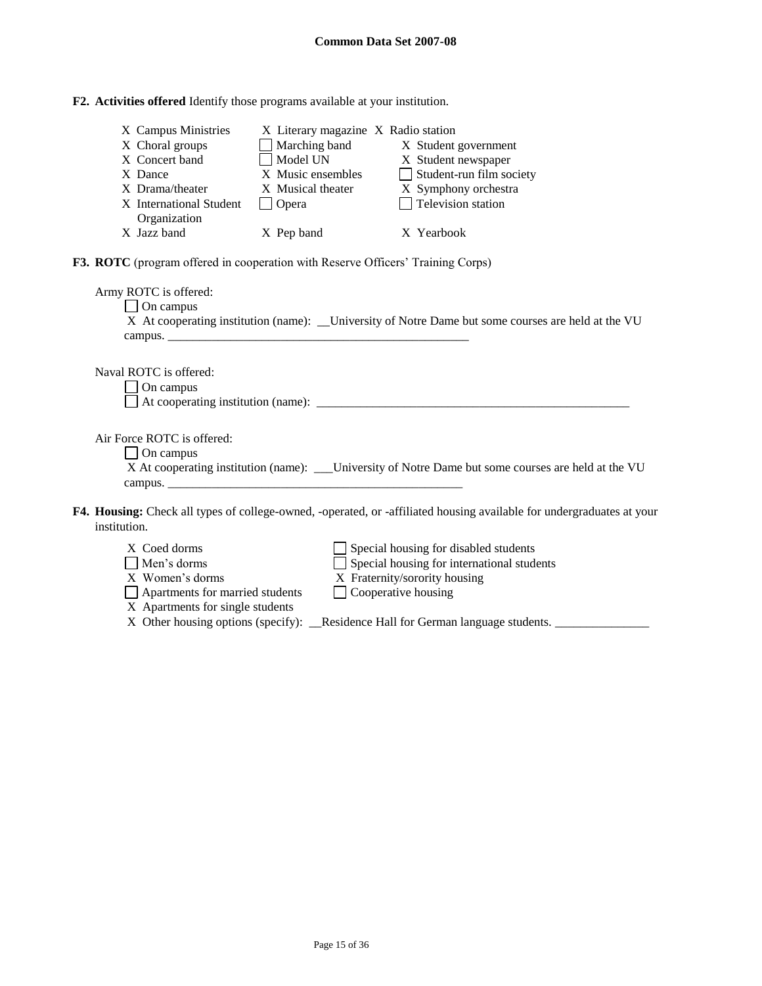| F2. Activities offered Identify those programs available at your institution. |  |
|-------------------------------------------------------------------------------|--|
|-------------------------------------------------------------------------------|--|

| X Campus Ministries<br>X Choral groups<br>X Concert band<br>X Dance<br>X Drama/theater<br>X International Student<br>Organization<br>X Jazz band | X Literary magazine X Radio station<br>Marching band<br>Model UN<br>X Music ensembles<br>X Musical theater<br>$\Box$ Opera<br>X Pep band | X Student government<br>X Student newspaper<br>$\Box$ Student-run film society<br>X Symphony orchestra<br>$\Box$ Television station<br>X Yearbook  |
|--------------------------------------------------------------------------------------------------------------------------------------------------|------------------------------------------------------------------------------------------------------------------------------------------|----------------------------------------------------------------------------------------------------------------------------------------------------|
| F3. ROTC (program offered in cooperation with Reserve Officers' Training Corps)                                                                  |                                                                                                                                          |                                                                                                                                                    |
| Army ROTC is offered:<br>$\Box$ On campus                                                                                                        |                                                                                                                                          | X At cooperating institution (name): __University of Notre Dame but some courses are held at the VU                                                |
| Naval ROTC is offered:<br>On campus<br>$\blacksquare$                                                                                            |                                                                                                                                          |                                                                                                                                                    |
| Air Force ROTC is offered:<br>$\Box$ On campus                                                                                                   |                                                                                                                                          | X At cooperating institution (name): _____University of Notre Dame but some courses are held at the VU                                             |
| institution.                                                                                                                                     |                                                                                                                                          | F4. Housing: Check all types of college-owned, -operated, or -affiliated housing available for undergraduates at your                              |
| X Coed dorms<br>Men's dorms<br>X Women's dorms<br>Apartments for married students<br>X Apartments for single students                            |                                                                                                                                          | Special housing for disabled students<br>Special housing for international students<br>X Fraternity/sorority housing<br>$\Box$ Cooperative housing |

X Other housing options (specify): \_\_Residence Hall for German language students. \_\_\_\_\_\_\_\_\_\_\_\_\_\_\_\_\_\_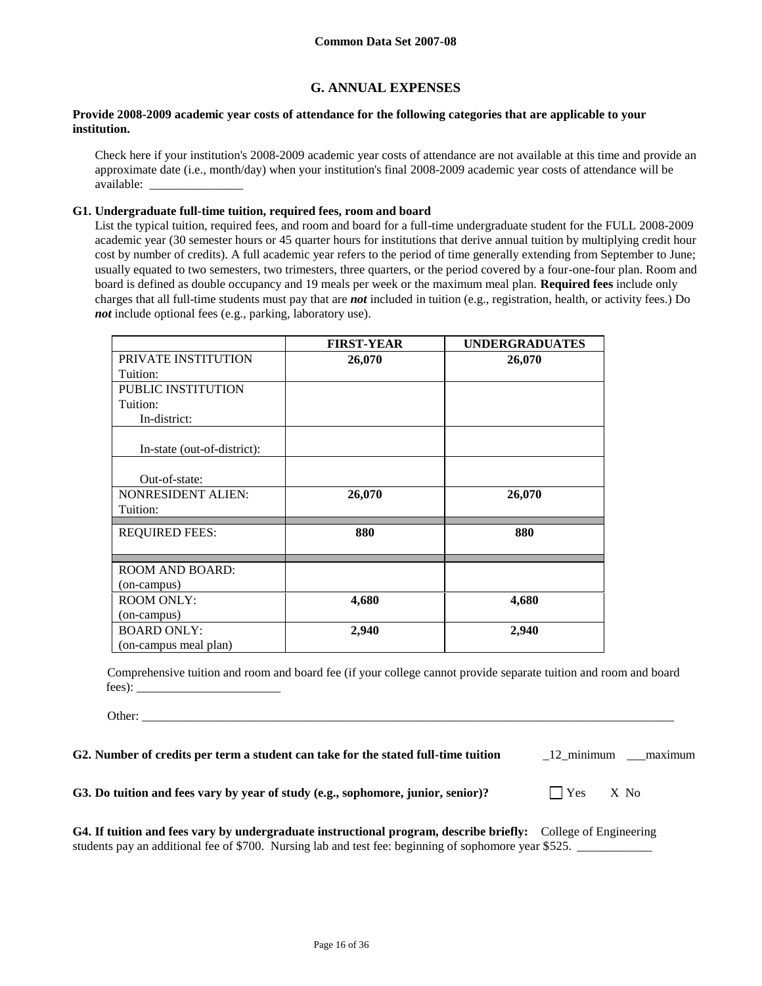# **G. ANNUAL EXPENSES**

## **Provide 2008-2009 academic year costs of attendance for the following categories that are applicable to your institution.**

Check here if your institution's 2008-2009 academic year costs of attendance are not available at this time and provide an approximate date (i.e., month/day) when your institution's final 2008-2009 academic year costs of attendance will be available: \_\_\_\_\_\_\_\_\_\_\_\_\_\_\_

### **G1. Undergraduate full-time tuition, required fees, room and board**

List the typical tuition, required fees, and room and board for a full-time undergraduate student for the FULL 2008-2009 academic year (30 semester hours or 45 quarter hours for institutions that derive annual tuition by multiplying credit hour cost by number of credits). A full academic year refers to the period of time generally extending from September to June; usually equated to two semesters, two trimesters, three quarters, or the period covered by a four-one-four plan. Room and board is defined as double occupancy and 19 meals per week or the maximum meal plan. **Required fees** include only charges that all full-time students must pay that are *not* included in tuition (e.g., registration, health, or activity fees.) Do *not* include optional fees (e.g., parking, laboratory use).

|                             | <b>FIRST-YEAR</b> | <b>UNDERGRADUATES</b> |
|-----------------------------|-------------------|-----------------------|
| PRIVATE INSTITUTION         | 26,070            | 26,070                |
| Tuition:                    |                   |                       |
| PUBLIC INSTITUTION          |                   |                       |
| Tuition:                    |                   |                       |
| In-district:                |                   |                       |
| In-state (out-of-district): |                   |                       |
| Out-of-state:               |                   |                       |
| NONRESIDENT ALIEN:          | 26,070            | 26,070                |
| Tuition:                    |                   |                       |
| <b>REQUIRED FEES:</b>       | 880               | 880                   |
| <b>ROOM AND BOARD:</b>      |                   |                       |
| (on-campus)                 |                   |                       |
| <b>ROOM ONLY:</b>           | 4,680             | 4,680                 |
| (on-campus)                 |                   |                       |
| <b>BOARD ONLY:</b>          | 2,940             | 2,940                 |
| (on-campus meal plan)       |                   |                       |

Comprehensive tuition and room and board fee (if your college cannot provide separate tuition and room and board fees):

Other: \_\_\_\_\_\_\_\_\_\_\_\_\_\_\_\_\_\_\_\_\_\_\_\_\_\_\_\_\_\_\_\_\_\_\_\_\_\_\_\_\_\_\_\_\_\_\_\_\_\_\_\_\_\_\_\_\_\_\_\_\_\_\_\_\_\_\_\_\_\_\_\_\_\_\_\_\_\_\_\_\_\_\_\_\_

| G2. Number of credits per term a student can take for the stated full-time tuition | 12 minimum | maximum |
|------------------------------------------------------------------------------------|------------|---------|
|------------------------------------------------------------------------------------|------------|---------|

**G3.** Do tuition and fees vary by year of study (e.g., sophomore, junior, senior)?  $\Box$  Yes X No

| G4. If tuition and fees vary by undergraduate instructional program, describe briefly: College of Engineering |  |  |
|---------------------------------------------------------------------------------------------------------------|--|--|
| students pay an additional fee of \$700. Nursing lab and test fee: beginning of sophomore year \$525.         |  |  |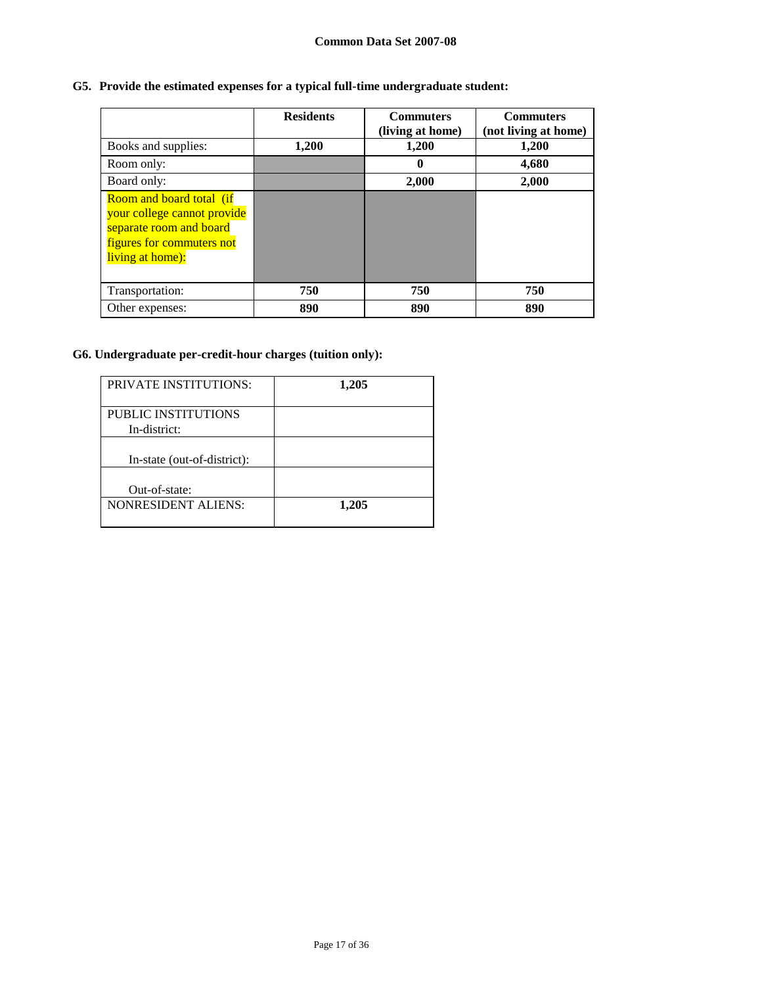# **G5. Provide the estimated expenses for a typical full-time undergraduate student:**

|                                                                                                                                            | <b>Residents</b> | <b>Commuters</b><br>(living at home) | <b>Commuters</b><br>(not living at home) |
|--------------------------------------------------------------------------------------------------------------------------------------------|------------------|--------------------------------------|------------------------------------------|
| Books and supplies:                                                                                                                        | 1,200            | 1,200                                | 1,200                                    |
| Room only:                                                                                                                                 |                  | 0                                    | 4,680                                    |
| Board only:                                                                                                                                |                  | 2,000                                | 2,000                                    |
| <b>Room and board total (if</b><br>your college cannot provide<br>separate room and board<br>figures for commuters not<br>living at home): |                  |                                      |                                          |
| Transportation:                                                                                                                            | 750              | 750                                  | 750                                      |
| Other expenses:                                                                                                                            | 890              | 890                                  | 890                                      |

# **G6. Undergraduate per-credit-hour charges (tuition only):**

| <b>PRIVATE INSTITUTIONS:</b>        | 1,205 |
|-------------------------------------|-------|
| PUBLIC INSTITUTIONS<br>In-district: |       |
| In-state (out-of-district):         |       |
| Out-of-state:                       |       |
| <b>NONRESIDENT ALIENS:</b>          | 1,205 |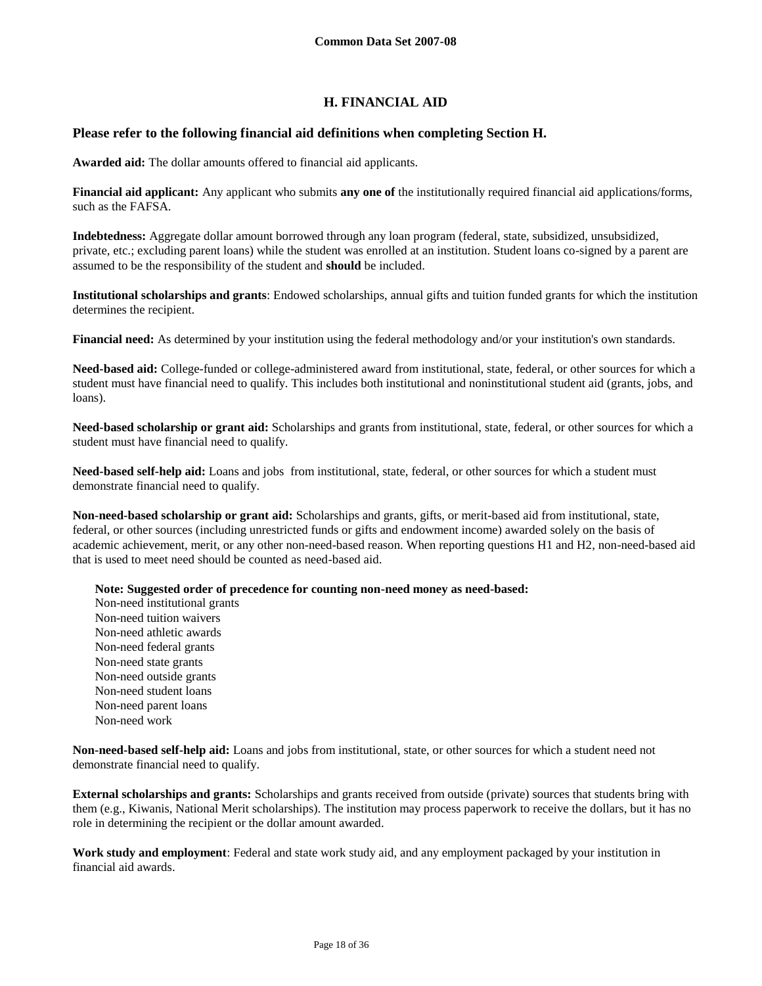# **H. FINANCIAL AID**

# **Please refer to the following financial aid definitions when completing Section H.**

**Awarded aid:** The dollar amounts offered to financial aid applicants.

**Financial aid applicant:** Any applicant who submits **any one of** the institutionally required financial aid applications/forms, such as the FAFSA.

**Indebtedness:** Aggregate dollar amount borrowed through any loan program (federal, state, subsidized, unsubsidized, private, etc.; excluding parent loans) while the student was enrolled at an institution. Student loans co-signed by a parent are assumed to be the responsibility of the student and **should** be included.

**Institutional scholarships and grants**: Endowed scholarships, annual gifts and tuition funded grants for which the institution determines the recipient.

**Financial need:** As determined by your institution using the federal methodology and/or your institution's own standards.

**Need-based aid:** College-funded or college-administered award from institutional, state, federal, or other sources for which a student must have financial need to qualify. This includes both institutional and noninstitutional student aid (grants, jobs, and loans).

**Need-based scholarship or grant aid:** Scholarships and grants from institutional, state, federal, or other sources for which a student must have financial need to qualify.

**Need-based self-help aid:** Loans and jobs from institutional, state, federal, or other sources for which a student must demonstrate financial need to qualify.

**Non-need-based scholarship or grant aid:** Scholarships and grants, gifts, or merit-based aid from institutional, state, federal, or other sources (including unrestricted funds or gifts and endowment income) awarded solely on the basis of academic achievement, merit, or any other non-need-based reason. When reporting questions H1 and H2, non-need-based aid that is used to meet need should be counted as need-based aid.

**Note: Suggested order of precedence for counting non-need money as need-based:**

Non-need institutional grants Non-need tuition waivers Non-need athletic awards Non-need federal grants Non-need state grants Non-need outside grants Non-need student loans Non-need parent loans Non-need work

**Non-need-based self-help aid:** Loans and jobs from institutional, state, or other sources for which a student need not demonstrate financial need to qualify.

**External scholarships and grants:** Scholarships and grants received from outside (private) sources that students bring with them (e.g., Kiwanis, National Merit scholarships). The institution may process paperwork to receive the dollars, but it has no role in determining the recipient or the dollar amount awarded.

**Work study and employment**: Federal and state work study aid, and any employment packaged by your institution in financial aid awards.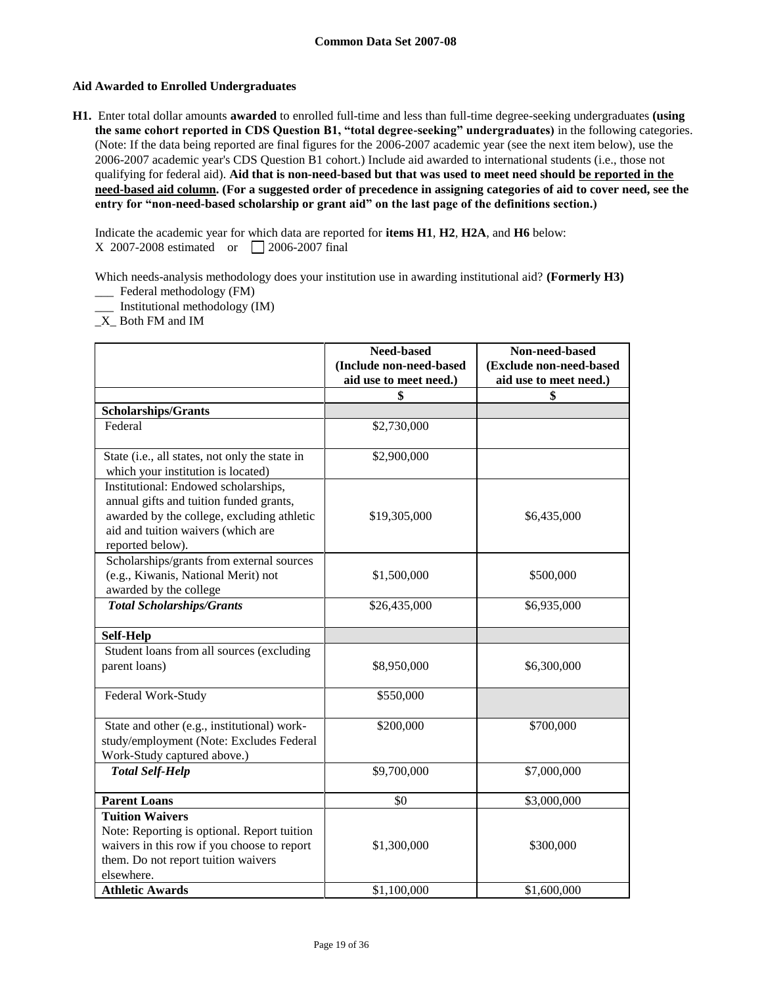## **Aid Awarded to Enrolled Undergraduates**

**H1.** Enter total dollar amounts **awarded** to enrolled full-time and less than full-time degree-seeking undergraduates **(using the same cohort reported in CDS Question B1, "total degree-seeking" undergraduates)** in the following categories. (Note: If the data being reported are final figures for the 2006-2007 academic year (see the next item below), use the 2006-2007 academic year's CDS Question B1 cohort.) Include aid awarded to international students (i.e., those not qualifying for federal aid). **Aid that is non-need-based but that was used to meet need should be reported in the need-based aid column. (For a suggested order of precedence in assigning categories of aid to cover need, see the entry for "non-need-based scholarship or grant aid" on the last page of the definitions section.)**

Indicate the academic year for which data are reported for **items H1**, **H2**, **H2A**, and **H6** below: X 2007-2008 estimated or 2006-2007 final

Which needs-analysis methodology does your institution use in awarding institutional aid? **(Formerly H3)** 

- \_\_\_ Federal methodology (FM)
- \_\_\_ Institutional methodology (IM)
- \_X\_ Both FM and IM

|                                                                                                                                                                                         | Need-based<br>(Include non-need-based | Non-need-based<br>(Exclude non-need-based |
|-----------------------------------------------------------------------------------------------------------------------------------------------------------------------------------------|---------------------------------------|-------------------------------------------|
|                                                                                                                                                                                         | aid use to meet need.)                | aid use to meet need.)                    |
|                                                                                                                                                                                         | \$                                    | \$                                        |
| <b>Scholarships/Grants</b>                                                                                                                                                              |                                       |                                           |
| Federal                                                                                                                                                                                 | \$2,730,000                           |                                           |
| State (i.e., all states, not only the state in<br>which your institution is located)                                                                                                    | \$2,900,000                           |                                           |
| Institutional: Endowed scholarships,<br>annual gifts and tuition funded grants,<br>awarded by the college, excluding athletic<br>aid and tuition waivers (which are<br>reported below). | \$19,305,000                          | \$6,435,000                               |
| Scholarships/grants from external sources<br>(e.g., Kiwanis, National Merit) not<br>awarded by the college                                                                              | \$1,500,000                           | \$500,000                                 |
| <b>Total Scholarships/Grants</b>                                                                                                                                                        | \$26,435,000                          | \$6,935,000                               |
| <b>Self-Help</b>                                                                                                                                                                        |                                       |                                           |
| Student loans from all sources (excluding                                                                                                                                               |                                       |                                           |
| parent loans)                                                                                                                                                                           | \$8,950,000                           | \$6,300,000                               |
| Federal Work-Study                                                                                                                                                                      | \$550,000                             |                                           |
| State and other (e.g., institutional) work-<br>study/employment (Note: Excludes Federal<br>Work-Study captured above.)                                                                  | \$200,000                             | \$700,000                                 |
| <b>Total Self-Help</b>                                                                                                                                                                  | \$9,700,000                           | \$7,000,000                               |
| <b>Parent Loans</b>                                                                                                                                                                     | \$0                                   | \$3,000,000                               |
| <b>Tuition Waivers</b><br>Note: Reporting is optional. Report tuition<br>waivers in this row if you choose to report<br>them. Do not report tuition waivers<br>elsewhere.               | \$1,300,000                           | \$300,000                                 |
| <b>Athletic Awards</b>                                                                                                                                                                  | \$1,100,000                           | \$1,600,000                               |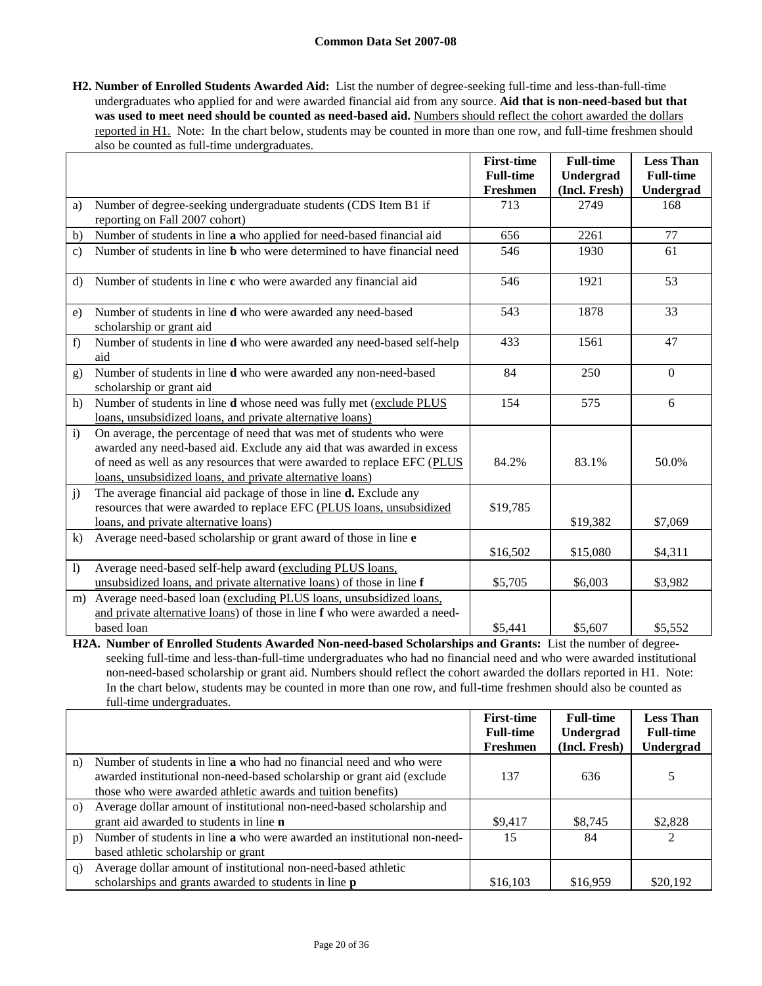**H2. Number of Enrolled Students Awarded Aid:** List the number of degree-seeking full-time and less-than-full-time undergraduates who applied for and were awarded financial aid from any source. **Aid that is non-need-based but that**  was used to meet need should be counted as need-based aid. Numbers should reflect the cohort awarded the dollars reported in H1. Note: In the chart below, students may be counted in more than one row, and full-time freshmen should also be counted as full-time undergraduates.

|                  |                                                                                                                                      | <b>First-time</b> | <b>Full-time</b> | <b>Less Than</b> |
|------------------|--------------------------------------------------------------------------------------------------------------------------------------|-------------------|------------------|------------------|
|                  |                                                                                                                                      | <b>Full-time</b>  | Undergrad        | <b>Full-time</b> |
|                  |                                                                                                                                      | Freshmen          | (Incl. Fresh)    | Undergrad        |
| a)               | Number of degree-seeking undergraduate students (CDS Item B1 if                                                                      | 713               | 2749             | 168              |
|                  | reporting on Fall 2007 cohort)                                                                                                       |                   |                  |                  |
| b)               | Number of students in line a who applied for need-based financial aid                                                                | 656               | 2261             | 77               |
| $\mathbf{c})$    | Number of students in line <b>b</b> who were determined to have financial need                                                       | 546               | 1930             | 61               |
| $\rm d$          | Number of students in line c who were awarded any financial aid                                                                      | 546               | 1921             | 53               |
| e)               | Number of students in line d who were awarded any need-based<br>scholarship or grant aid                                             | 543               | 1878             | 33               |
| f)               | Number of students in line d who were awarded any need-based self-help<br>aid                                                        | 433               | 1561             | 47               |
| g)               | Number of students in line <b>d</b> who were awarded any non-need-based<br>scholarship or grant aid                                  | 84                | 250              | $\theta$         |
| h)               | Number of students in line d whose need was fully met (exclude PLUS                                                                  | 154               | 575              | 6                |
|                  | loans, unsubsidized loans, and private alternative loans)                                                                            |                   |                  |                  |
| $\mathbf{i}$     | On average, the percentage of need that was met of students who were                                                                 |                   |                  |                  |
|                  | awarded any need-based aid. Exclude any aid that was awarded in excess                                                               |                   |                  |                  |
|                  | of need as well as any resources that were awarded to replace EFC (PLUS<br>loans, unsubsidized loans, and private alternative loans) | 84.2%             | 83.1%            | 50.0%            |
| $\mathbf{j}$     | The average financial aid package of those in line d. Exclude any                                                                    |                   |                  |                  |
|                  | resources that were awarded to replace EFC (PLUS loans, unsubsidized                                                                 | \$19,785          |                  |                  |
|                  | loans, and private alternative loans)                                                                                                |                   | \$19,382         | \$7,069          |
| $\bf k)$         | Average need-based scholarship or grant award of those in line e                                                                     |                   |                  |                  |
|                  |                                                                                                                                      | \$16,502          | \$15,080         | \$4,311          |
| $\left( \right)$ | Average need-based self-help award (excluding PLUS loans,                                                                            |                   |                  |                  |
|                  | unsubsidized loans, and private alternative loans) of those in line f                                                                | \$5,705           | \$6,003          | \$3,982          |
| m)               | Average need-based loan (excluding PLUS loans, unsubsidized loans,                                                                   |                   |                  |                  |
|                  | and private alternative loans) of those in line f who were awarded a need-                                                           |                   |                  |                  |
|                  | based loan                                                                                                                           | \$5,441           | \$5,607          | \$5,552          |

**H2A. Number of Enrolled Students Awarded Non-need-based Scholarships and Grants:** List the number of degreeseeking full-time and less-than-full-time undergraduates who had no financial need and who were awarded institutional non-need-based scholarship or grant aid. Numbers should reflect the cohort awarded the dollars reported in H1. Note: In the chart below, students may be counted in more than one row, and full-time freshmen should also be counted as full-time undergraduates.

|          |                                                                          | <b>First-time</b><br><b>Full-time</b> | <b>Full-time</b><br>Undergrad | <b>Less Than</b><br><b>Full-time</b> |
|----------|--------------------------------------------------------------------------|---------------------------------------|-------------------------------|--------------------------------------|
|          |                                                                          | Freshmen                              | (Incl. Fresh)                 | Undergrad                            |
| n)       | Number of students in line a who had no financial need and who were      |                                       |                               |                                      |
|          | awarded institutional non-need-based scholarship or grant aid (exclude   | 137                                   | 636                           |                                      |
|          | those who were awarded athletic awards and tuition benefits)             |                                       |                               |                                      |
| $\Omega$ | Average dollar amount of institutional non-need-based scholarship and    |                                       |                               |                                      |
|          | grant aid awarded to students in line <b>n</b>                           | \$9,417                               | \$8,745                       | \$2,828                              |
| p)       | Number of students in line a who were awarded an institutional non-need- | 15                                    | 84                            | $\mathfrak{D}$                       |
|          | based athletic scholarship or grant                                      |                                       |                               |                                      |
| q)       | Average dollar amount of institutional non-need-based athletic           |                                       |                               |                                      |
|          | scholarships and grants awarded to students in line <b>p</b>             | \$16,103                              | \$16,959                      | \$20,192                             |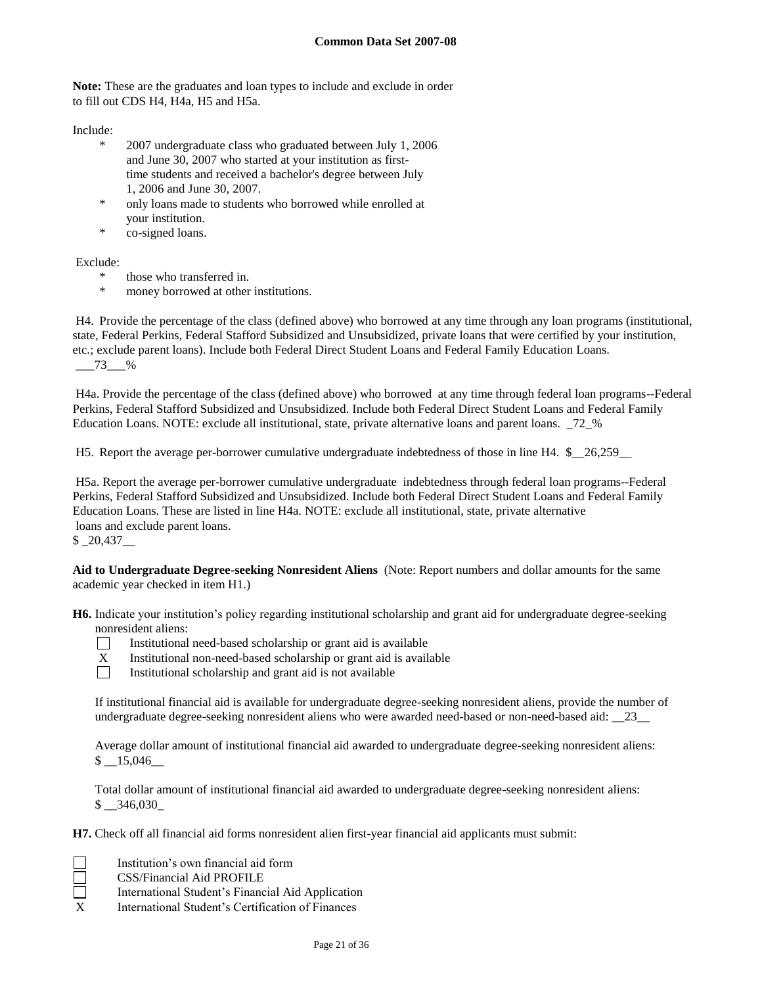**Note:** These are the graduates and loan types to include and exclude in order to fill out CDS H4, H4a, H5 and H5a.

Include:

- \* 2007 undergraduate class who graduated between July 1, 2006 and June 30, 2007 who started at your institution as firsttime students and received a bachelor's degree between July 1, 2006 and June 30, 2007.
- \* only loans made to students who borrowed while enrolled at your institution.
- \* co-signed loans.

Exclude:

- \* those who transferred in.
- \* money borrowed at other institutions.

H4. Provide the percentage of the class (defined above) who borrowed at any time through any loan programs (institutional, state, Federal Perkins, Federal Stafford Subsidized and Unsubsidized, private loans that were certified by your institution, etc.; exclude parent loans). Include both Federal Direct Student Loans and Federal Family Education Loans. \_\_\_73\_\_\_%

H4a. Provide the percentage of the class (defined above) who borrowed at any time through federal loan programs--Federal Perkins, Federal Stafford Subsidized and Unsubsidized. Include both Federal Direct Student Loans and Federal Family Education Loans. NOTE: exclude all institutional, state, private alternative loans and parent loans. \_72\_%

H5. Report the average per-borrower cumulative undergraduate indebtedness of those in line H4. \$\_\_26,259\_\_

H5a. Report the average per-borrower cumulative undergraduate indebtedness through federal loan programs--Federal Perkins, Federal Stafford Subsidized and Unsubsidized. Include both Federal Direct Student Loans and Federal Family Education Loans. These are listed in line H4a. NOTE: exclude all institutional, state, private alternative loans and exclude parent loans.

 $$20,437$ 

**Aid to Undergraduate Degree-seeking Nonresident Aliens** (Note: Report numbers and dollar amounts for the same academic year checked in item H1.)

**H6.** Indicate your institution's policy regarding institutional scholarship and grant aid for undergraduate degree-seeking nonresident aliens:



Institutional need-based scholarship or grant aid is available

- X Institutional non-need-based scholarship or grant aid is available
- $\Box$ Institutional scholarship and grant aid is not available

If institutional financial aid is available for undergraduate degree-seeking nonresident aliens, provide the number of undergraduate degree-seeking nonresident aliens who were awarded need-based or non-need-based aid: \_\_23\_\_

Average dollar amount of institutional financial aid awarded to undergraduate degree-seeking nonresident aliens:  $$ -15,046$ 

Total dollar amount of institutional financial aid awarded to undergraduate degree-seeking nonresident aliens: \$ \_\_346,030\_

**H7.** Check off all financial aid forms nonresident alien first-year financial aid applicants must submit:

- Institution's own financial aid form
- CSS/Financial Aid PROFILE
- International Student's Financial Aid Application
- X International Student's Certification of Finances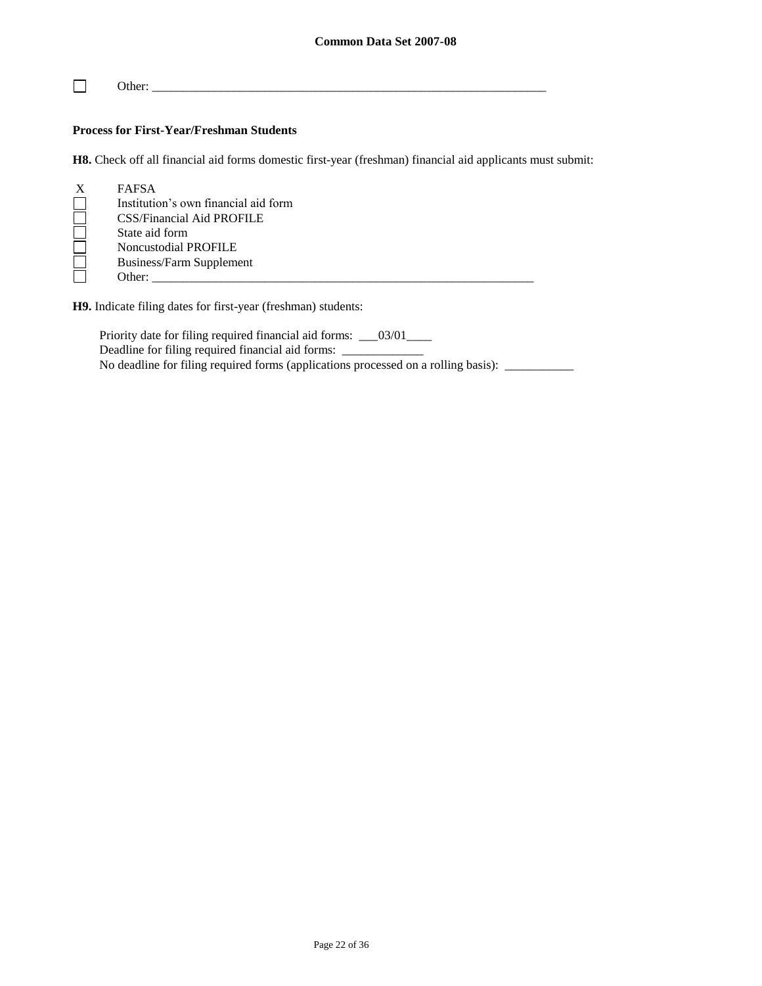$\Box$ Other: \_\_\_\_\_\_\_\_\_\_\_\_\_\_\_\_\_\_\_\_\_\_\_\_\_\_\_\_\_\_\_\_\_\_\_\_\_\_\_\_\_\_\_\_\_\_\_\_\_\_\_\_\_\_\_\_\_\_\_\_\_\_\_

# **Process for First-Year/Freshman Students**

**H8.** Check off all financial aid forms domestic first-year (freshman) financial aid applicants must submit:

| X | <b>FAFSA</b>                         |
|---|--------------------------------------|
|   | Institution's own financial aid form |
|   | CSS/Financial Aid PROFILE            |
|   | State aid form                       |
|   | <b>Noncustodial PROFILE</b>          |
|   | Business/Farm Supplement             |
|   | Other:                               |

**H9.** Indicate filing dates for first-year (freshman) students:

Priority date for filing required financial aid forms: \_\_\_03/01\_\_\_\_ Deadline for filing required financial aid forms: \_\_\_\_\_\_\_\_\_\_\_\_\_\_\_\_\_\_\_\_\_\_\_\_\_\_\_\_\_\_\_ No deadline for filing required forms (applications processed on a rolling basis): \_\_\_\_\_\_\_\_\_\_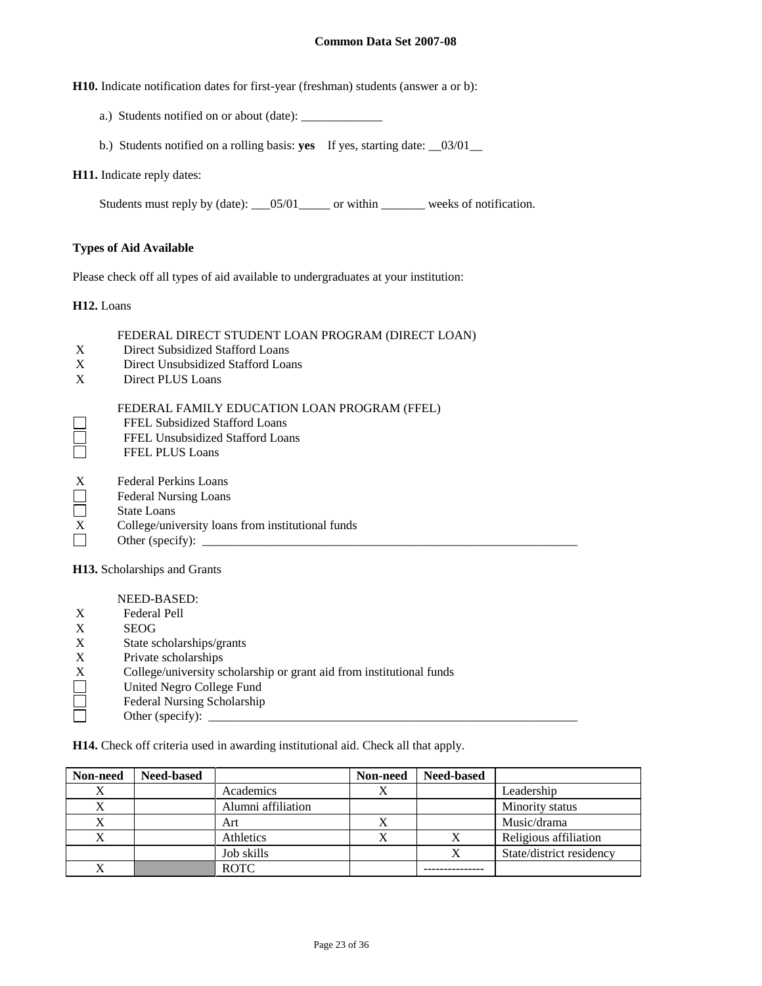**H10.** Indicate notification dates for first-year (freshman) students (answer a or b):

- a.) Students notified on or about (date): \_\_\_\_\_\_\_\_\_\_\_\_\_
- b.) Students notified on a rolling basis: **yes** If yes, starting date: \_\_03/01\_\_

### **H11.** Indicate reply dates:

Students must reply by (date): \_\_\_05/01\_\_\_\_\_ or within \_\_\_\_\_\_\_ weeks of notification.

## **Types of Aid Available**

Please check off all types of aid available to undergraduates at your institution:

**H12.** Loans

## FEDERAL DIRECT STUDENT LOAN PROGRAM (DIRECT LOAN)

- X Direct Subsidized Stafford Loans
- X Direct Unsubsidized Stafford Loans
- X Direct PLUS Loans

## FEDERAL FAMILY EDUCATION LOAN PROGRAM (FFEL)

- FFEL Subsidized Stafford Loans
- $\Box$ FFEL Unsubsidized Stafford Loans
- FFEL PLUS Loans
- X Federal Perkins Loans
- Federal Nursing Loans
- $\Box$ State Loans
- X College/university loans from institutional funds
- Other (specify):  $\Box$

**H13.** Scholarships and Grants

NEED-BASED:

- X Federal Pell
- X SEOG
- X State scholarships/grants
- X Private scholarships<br>X College/university sc<br>United Negro College
- X College/university scholarship or grant aid from institutional funds
- United Negro College Fund
- ñ Federal Nursing Scholarship
- Other (specify):  $\Box$

**H14.** Check off criteria used in awarding institutional aid. Check all that apply.

| Non-need | <b>Need-based</b> |                    | Non-need | <b>Need-based</b> |                          |
|----------|-------------------|--------------------|----------|-------------------|--------------------------|
| X        |                   | Academics          |          |                   | Leadership               |
|          |                   | Alumni affiliation |          |                   | Minority status          |
| X        |                   | Art                |          |                   | Music/drama              |
| X        |                   | Athletics          |          | Χ                 | Religious affiliation    |
|          |                   | Job skills         |          | Χ                 | State/district residency |
|          |                   | <b>ROTC</b>        |          |                   |                          |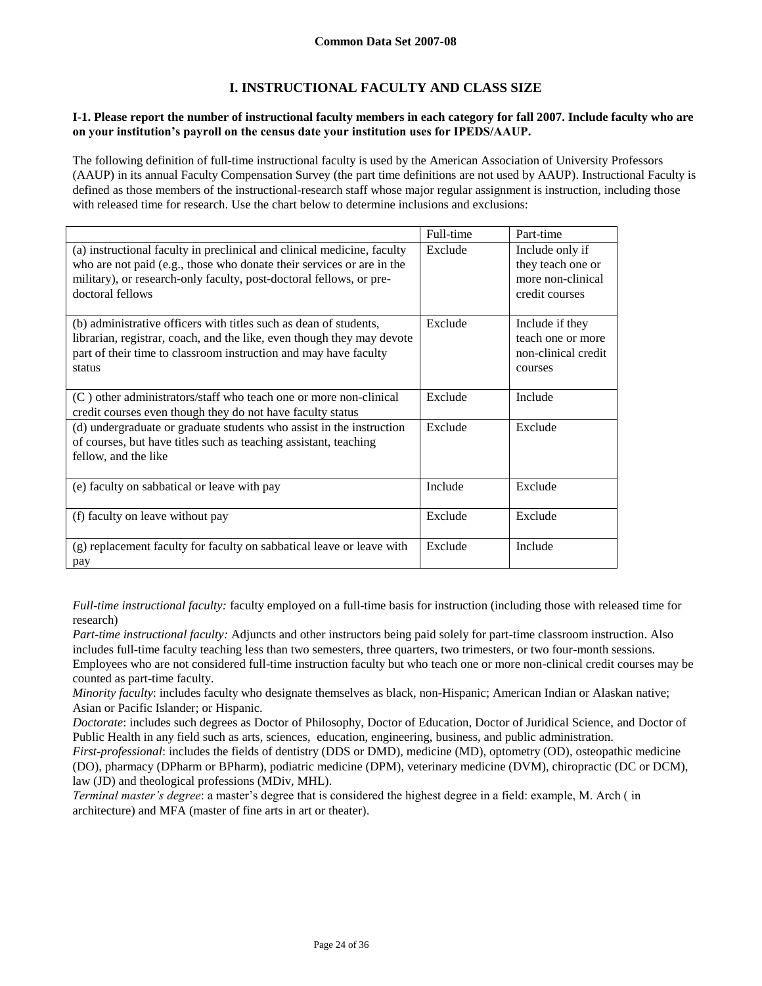# **I. INSTRUCTIONAL FACULTY AND CLASS SIZE**

## **I-1. Please report the number of instructional faculty members in each category for fall 2007. Include faculty who are on your institution's payroll on the census date your institution uses for IPEDS/AAUP.**

The following definition of full-time instructional faculty is used by the American Association of University Professors (AAUP) in its annual Faculty Compensation Survey (the part time definitions are not used by AAUP). Instructional Faculty is defined as those members of the instructional-research staff whose major regular assignment is instruction, including those with released time for research. Use the chart below to determine inclusions and exclusions:

|                                                                                                                                                                                                                                             | Full-time | Part-time                                                                   |
|---------------------------------------------------------------------------------------------------------------------------------------------------------------------------------------------------------------------------------------------|-----------|-----------------------------------------------------------------------------|
| (a) instructional faculty in preclinical and clinical medicine, faculty<br>who are not paid (e.g., those who donate their services or are in the<br>military), or research-only faculty, post-doctoral fellows, or pre-<br>doctoral fellows | Exclude   | Include only if<br>they teach one or<br>more non-clinical<br>credit courses |
| (b) administrative officers with titles such as dean of students,<br>librarian, registrar, coach, and the like, even though they may devote<br>part of their time to classroom instruction and may have faculty<br>status                   | Exclude   | Include if they<br>teach one or more<br>non-clinical credit<br>courses      |
| (C) other administrators/staff who teach one or more non-clinical<br>credit courses even though they do not have faculty status                                                                                                             | Exclude   | Include                                                                     |
| (d) undergraduate or graduate students who assist in the instruction<br>of courses, but have titles such as teaching assistant, teaching<br>fellow, and the like                                                                            | Exclude   | Exclude                                                                     |
| (e) faculty on sabbatical or leave with pay                                                                                                                                                                                                 | Include   | Exclude                                                                     |
| (f) faculty on leave without pay                                                                                                                                                                                                            | Exclude   | Exclude                                                                     |
| (g) replacement faculty for faculty on sabbatical leave or leave with<br>pay                                                                                                                                                                | Exclude   | Include                                                                     |

*Full-time instructional faculty:* faculty employed on a full-time basis for instruction (including those with released time for research)

*Part-time instructional faculty:* Adjuncts and other instructors being paid solely for part-time classroom instruction. Also includes full-time faculty teaching less than two semesters, three quarters, two trimesters, or two four-month sessions. Employees who are not considered full-time instruction faculty but who teach one or more non-clinical credit courses may be counted as part-time faculty.

*Minority faculty*: includes faculty who designate themselves as black, non-Hispanic; American Indian or Alaskan native; Asian or Pacific Islander; or Hispanic.

*Doctorate*: includes such degrees as Doctor of Philosophy, Doctor of Education, Doctor of Juridical Science, and Doctor of Public Health in any field such as arts, sciences, education, engineering, business, and public administration.

*First-professional*: includes the fields of dentistry (DDS or DMD), medicine (MD), optometry (OD), osteopathic medicine (DO), pharmacy (DPharm or BPharm), podiatric medicine (DPM), veterinary medicine (DVM), chiropractic (DC or DCM), law (JD) and theological professions (MDiv, MHL).

*Terminal master's degree*: a master's degree that is considered the highest degree in a field: example, M. Arch ( in architecture) and MFA (master of fine arts in art or theater).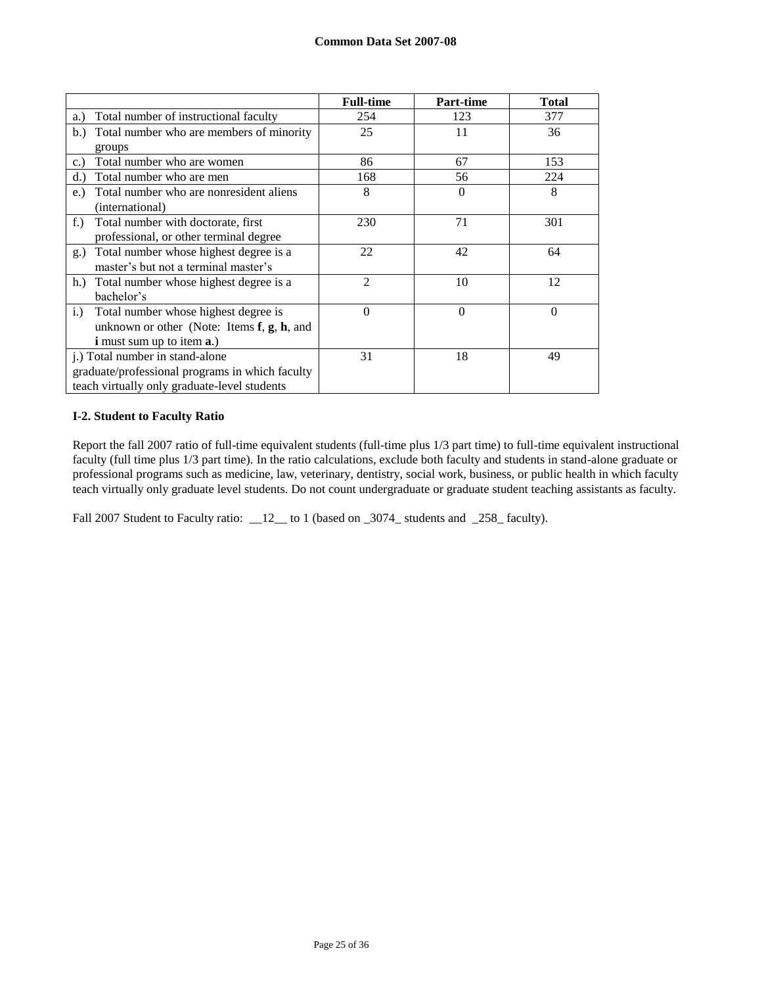|                                                     | <b>Full-time</b> | Part-time | <b>Total</b> |
|-----------------------------------------------------|------------------|-----------|--------------|
| Total number of instructional faculty<br>a.)        | 254              | 123       | 377          |
| Total number who are members of minority<br>b.      | 25               | 11        | 36           |
| groups                                              |                  |           |              |
| Total number who are women<br>c.                    | 86               | 67        | 153          |
| Total number who are men<br>d.                      | 168              | 56        | 224          |
| Total number who are nonresident aliens<br>$e$ .    | 8                | $\Omega$  | 8            |
| (international)                                     |                  |           |              |
| Total number with doctorate, first<br>$f_{\cdot}$ ) | 230              | 71        | 301          |
| professional, or other terminal degree              |                  |           |              |
| Total number whose highest degree is a<br>g.)       | 22               | 42        | 64           |
| master's but not a terminal master's                |                  |           |              |
| h.<br>Total number whose highest degree is a        | $\mathfrak{D}$   | 10        | 12           |
| bachelor's                                          |                  |           |              |
| Total number whose highest degree is<br>i.)         | $\theta$         | $\Omega$  | $\theta$     |
| unknown or other (Note: Items $f$ , $g$ , $h$ , and |                  |           |              |
| <b>i</b> must sum up to item <b>a</b> .)            |                  |           |              |
| j.) Total number in stand-alone                     | 31               | 18        | 49           |
| graduate/professional programs in which faculty     |                  |           |              |
| teach virtually only graduate-level students        |                  |           |              |

## **I-2. Student to Faculty Ratio**

Report the fall 2007 ratio of full-time equivalent students (full-time plus 1/3 part time) to full-time equivalent instructional faculty (full time plus 1/3 part time). In the ratio calculations, exclude both faculty and students in stand-alone graduate or professional programs such as medicine, law, veterinary, dentistry, social work, business, or public health in which faculty teach virtually only graduate level students. Do not count undergraduate or graduate student teaching assistants as faculty.

Fall 2007 Student to Faculty ratio: \_\_12\_\_ to 1 (based on \_3074\_ students and \_258\_ faculty).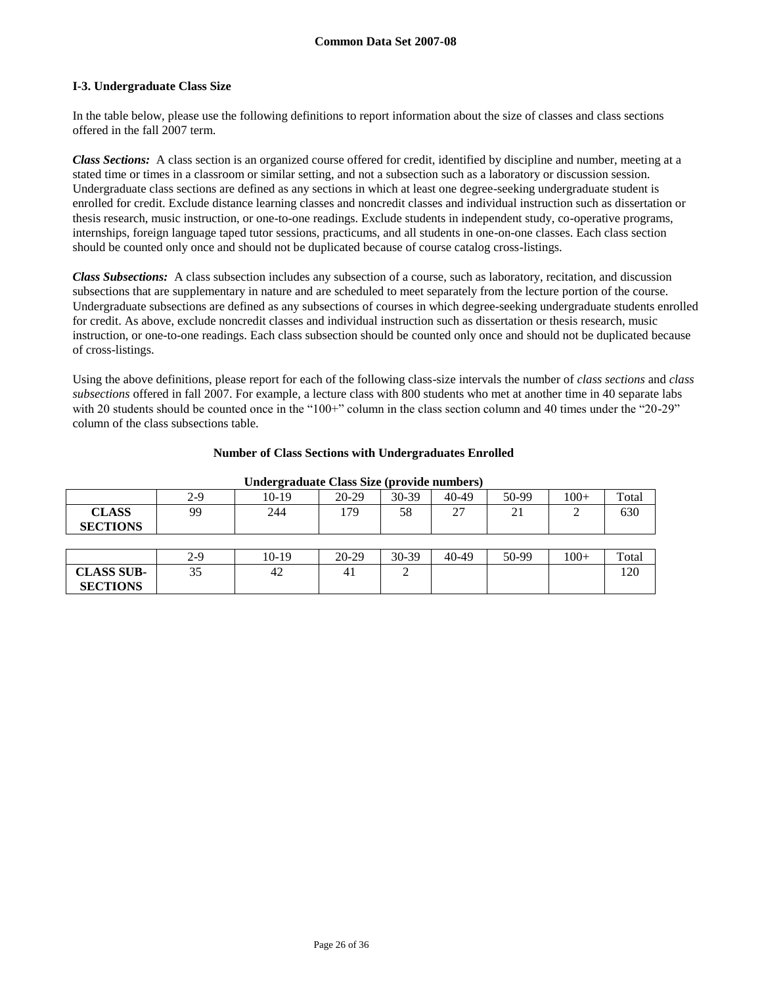## **I-3. Undergraduate Class Size**

**SECTIONS**

In the table below, please use the following definitions to report information about the size of classes and class sections offered in the fall 2007 term.

*Class Sections:* A class section is an organized course offered for credit, identified by discipline and number, meeting at a stated time or times in a classroom or similar setting, and not a subsection such as a laboratory or discussion session. Undergraduate class sections are defined as any sections in which at least one degree-seeking undergraduate student is enrolled for credit. Exclude distance learning classes and noncredit classes and individual instruction such as dissertation or thesis research, music instruction, or one-to-one readings. Exclude students in independent study, co-operative programs, internships, foreign language taped tutor sessions, practicums, and all students in one-on-one classes. Each class section should be counted only once and should not be duplicated because of course catalog cross-listings.

*Class Subsections:* A class subsection includes any subsection of a course, such as laboratory, recitation, and discussion subsections that are supplementary in nature and are scheduled to meet separately from the lecture portion of the course. Undergraduate subsections are defined as any subsections of courses in which degree-seeking undergraduate students enrolled for credit. As above, exclude noncredit classes and individual instruction such as dissertation or thesis research, music instruction, or one-to-one readings. Each class subsection should be counted only once and should not be duplicated because of cross-listings.

Using the above definitions, please report for each of the following class-size intervals the number of *class sections* and *class subsections* offered in fall 2007. For example, a lecture class with 800 students who met at another time in 40 separate labs with 20 students should be counted once in the "100+" column in the class section column and 40 times under the "20-29" column of the class subsections table.

|  |  | <b>Number of Class Sections with Undergraduates Enrolled</b> |  |
|--|--|--------------------------------------------------------------|--|
|  |  |                                                              |  |

| -                               |     |       |           |       |         |       |        |       |
|---------------------------------|-----|-------|-----------|-------|---------|-------|--------|-------|
|                                 | 2-9 | 10-19 | $20-29$   | 30-39 | 40-49   | 50-99 | $100+$ | Total |
| <b>CLASS</b><br><b>SECTIONS</b> | 99  | 244   | 179       | 58    | 27      | 21    |        | 630   |
|                                 |     |       |           |       |         |       |        |       |
|                                 | 2-9 | 10-19 | $20 - 29$ | 30-39 | $40-49$ | 50-99 | $100+$ | Total |
| <b>CLASS SUB-</b>               | 35  | 42    | 41        |       |         |       |        | 120   |

#### **Undergraduate Class Size (provide numbers)**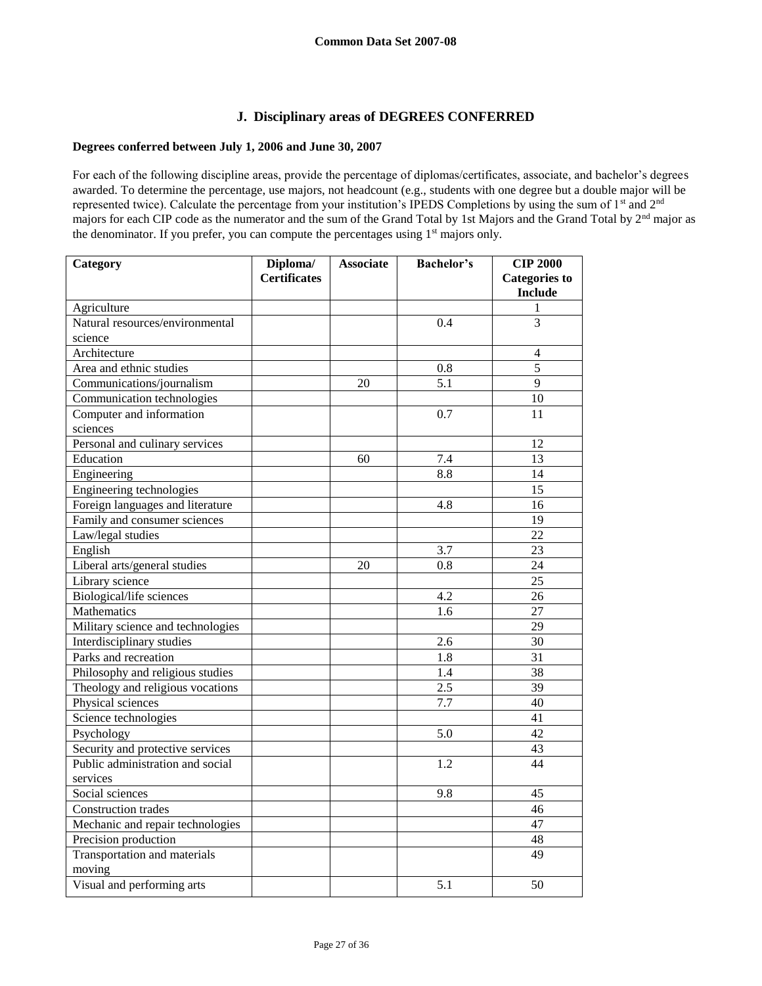# **J. Disciplinary areas of DEGREES CONFERRED**

# **Degrees conferred between July 1, 2006 and June 30, 2007**

For each of the following discipline areas, provide the percentage of diplomas/certificates, associate, and bachelor's degrees awarded. To determine the percentage, use majors, not headcount (e.g., students with one degree but a double major will be represented twice). Calculate the percentage from your institution's IPEDS Completions by using the sum of 1<sup>st</sup> and 2<sup>nd</sup> majors for each CIP code as the numerator and the sum of the Grand Total by 1st Majors and the Grand Total by 2nd major as the denominator. If you prefer, you can compute the percentages using 1<sup>st</sup> majors only.

| Category                          | Diploma/            | <b>Associate</b> | <b>Bachelor's</b> | <b>CIP 2000</b>      |
|-----------------------------------|---------------------|------------------|-------------------|----------------------|
|                                   | <b>Certificates</b> |                  |                   | <b>Categories to</b> |
|                                   |                     |                  |                   | <b>Include</b>       |
| Agriculture                       |                     |                  |                   | 1                    |
| Natural resources/environmental   |                     |                  | 0.4               | 3                    |
| science                           |                     |                  |                   |                      |
| Architecture                      |                     |                  |                   | 4                    |
| Area and ethnic studies           |                     |                  | 0.8               | 5                    |
| Communications/journalism         |                     | 20               | $\overline{5.1}$  | 9                    |
| Communication technologies        |                     |                  |                   | 10                   |
| Computer and information          |                     |                  | 0.7               | 11                   |
| sciences                          |                     |                  |                   |                      |
| Personal and culinary services    |                     |                  |                   | 12                   |
| Education                         |                     | 60               | 7.4               | 13                   |
| Engineering                       |                     |                  | 8.8               | 14                   |
| Engineering technologies          |                     |                  |                   | 15                   |
| Foreign languages and literature  |                     |                  | 4.8               | 16                   |
| Family and consumer sciences      |                     |                  |                   | 19                   |
| Law/legal studies                 |                     |                  |                   | $\overline{22}$      |
| English                           |                     |                  | 3.7               | 23                   |
| Liberal arts/general studies      |                     | 20               | 0.8               | 24                   |
| Library science                   |                     |                  |                   | $\overline{25}$      |
| Biological/life sciences          |                     |                  | 4.2               | 26                   |
| Mathematics                       |                     |                  | 1.6               | 27                   |
| Military science and technologies |                     |                  |                   | 29                   |
| Interdisciplinary studies         |                     |                  | 2.6               | 30                   |
| Parks and recreation              |                     |                  | 1.8               | 31                   |
| Philosophy and religious studies  |                     |                  | 1.4               | $\overline{38}$      |
| Theology and religious vocations  |                     |                  | 2.5               | 39                   |
| Physical sciences                 |                     |                  | 7.7               | 40                   |
| Science technologies              |                     |                  |                   | $\overline{41}$      |
| Psychology                        |                     |                  | 5.0               | 42                   |
| Security and protective services  |                     |                  |                   | 43                   |
| Public administration and social  |                     |                  | 1.2               | 44                   |
| services                          |                     |                  |                   |                      |
| Social sciences                   |                     |                  | 9.8               | 45                   |
| Construction trades               |                     |                  |                   | 46                   |
| Mechanic and repair technologies  |                     |                  |                   | 47                   |
| Precision production              |                     |                  |                   | 48                   |
| Transportation and materials      |                     |                  |                   | 49                   |
| moving                            |                     |                  |                   |                      |
| Visual and performing arts        |                     |                  | 5.1               | 50                   |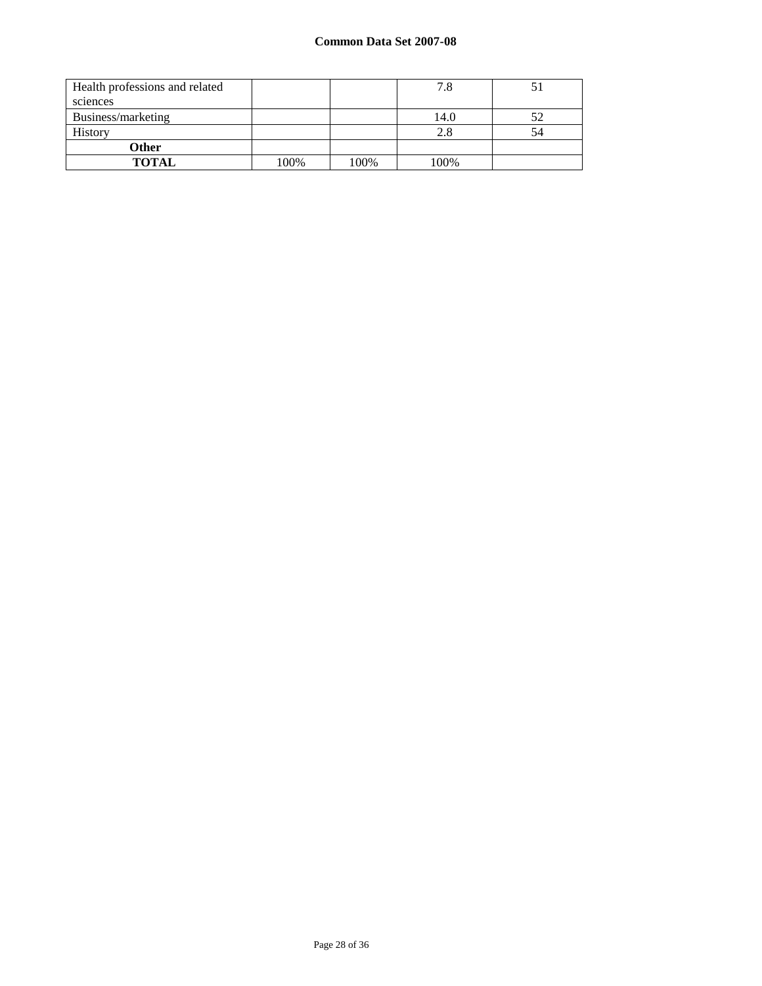| Health professions and related |      |      | 7.8  |    |
|--------------------------------|------|------|------|----|
| sciences                       |      |      |      |    |
| Business/marketing             |      |      | 14.0 | 52 |
| History                        |      |      | 2.8  | 54 |
| <b>Other</b>                   |      |      |      |    |
| <b>TOTAL</b>                   | 100% | 100% | 100% |    |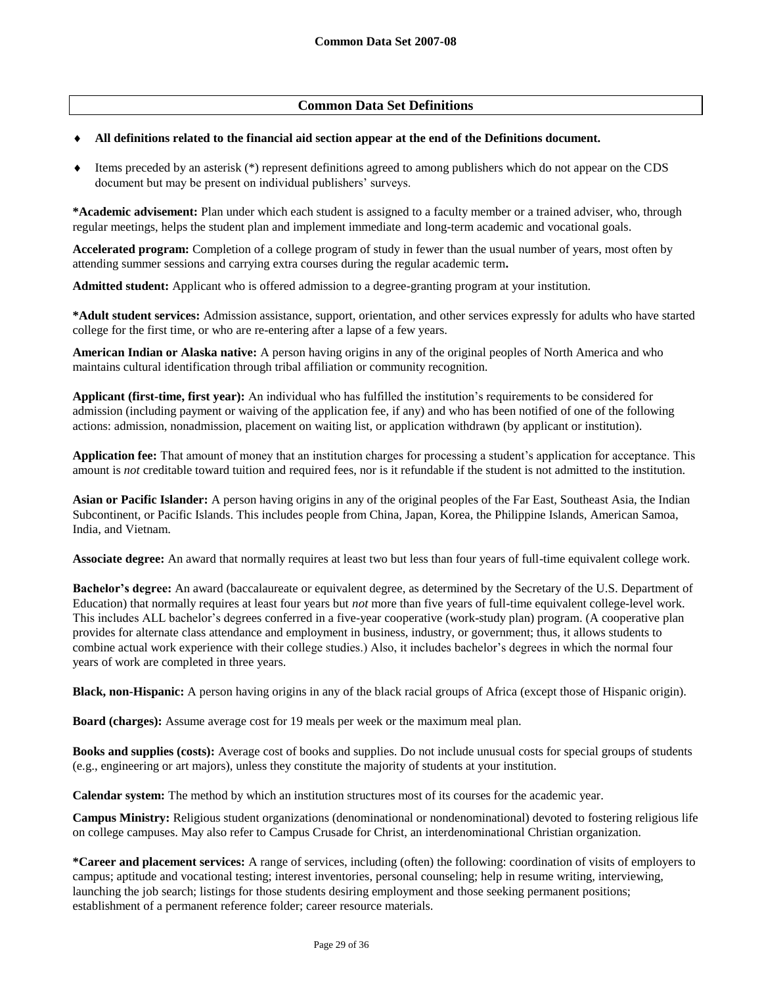# **Common Data Set Definitions**

### **All definitions related to the financial aid section appear at the end of the Definitions document.**

 $\bullet$  Items preceded by an asterisk (\*) represent definitions agreed to among publishers which do not appear on the CDS document but may be present on individual publishers' surveys.

**\*Academic advisement:** Plan under which each student is assigned to a faculty member or a trained adviser, who, through regular meetings, helps the student plan and implement immediate and long-term academic and vocational goals.

**Accelerated program:** Completion of a college program of study in fewer than the usual number of years, most often by attending summer sessions and carrying extra courses during the regular academic term**.**

**Admitted student:** Applicant who is offered admission to a degree-granting program at your institution.

**\*Adult student services:** Admission assistance, support, orientation, and other services expressly for adults who have started college for the first time, or who are re-entering after a lapse of a few years.

**American Indian or Alaska native:** A person having origins in any of the original peoples of North America and who maintains cultural identification through tribal affiliation or community recognition.

**Applicant (first-time, first year):** An individual who has fulfilled the institution's requirements to be considered for admission (including payment or waiving of the application fee, if any) and who has been notified of one of the following actions: admission, nonadmission, placement on waiting list, or application withdrawn (by applicant or institution).

**Application fee:** That amount of money that an institution charges for processing a student's application for acceptance. This amount is *not* creditable toward tuition and required fees, nor is it refundable if the student is not admitted to the institution.

**Asian or Pacific Islander:** A person having origins in any of the original peoples of the Far East, Southeast Asia, the Indian Subcontinent, or Pacific Islands. This includes people from China, Japan, Korea, the Philippine Islands, American Samoa, India, and Vietnam.

**Associate degree:** An award that normally requires at least two but less than four years of full-time equivalent college work.

**Bachelor's degree:** An award (baccalaureate or equivalent degree, as determined by the Secretary of the U.S. Department of Education) that normally requires at least four years but *not* more than five years of full-time equivalent college-level work. This includes ALL bachelor's degrees conferred in a five-year cooperative (work-study plan) program. (A cooperative plan provides for alternate class attendance and employment in business, industry, or government; thus, it allows students to combine actual work experience with their college studies.) Also, it includes bachelor's degrees in which the normal four years of work are completed in three years.

**Black, non-Hispanic:** A person having origins in any of the black racial groups of Africa (except those of Hispanic origin).

**Board (charges):** Assume average cost for 19 meals per week or the maximum meal plan.

**Books and supplies (costs):** Average cost of books and supplies. Do not include unusual costs for special groups of students (e.g., engineering or art majors), unless they constitute the majority of students at your institution.

**Calendar system:** The method by which an institution structures most of its courses for the academic year.

**Campus Ministry:** Religious student organizations (denominational or nondenominational) devoted to fostering religious life on college campuses. May also refer to Campus Crusade for Christ, an interdenominational Christian organization.

**\*Career and placement services:** A range of services, including (often) the following: coordination of visits of employers to campus; aptitude and vocational testing; interest inventories, personal counseling; help in resume writing, interviewing, launching the job search; listings for those students desiring employment and those seeking permanent positions; establishment of a permanent reference folder; career resource materials.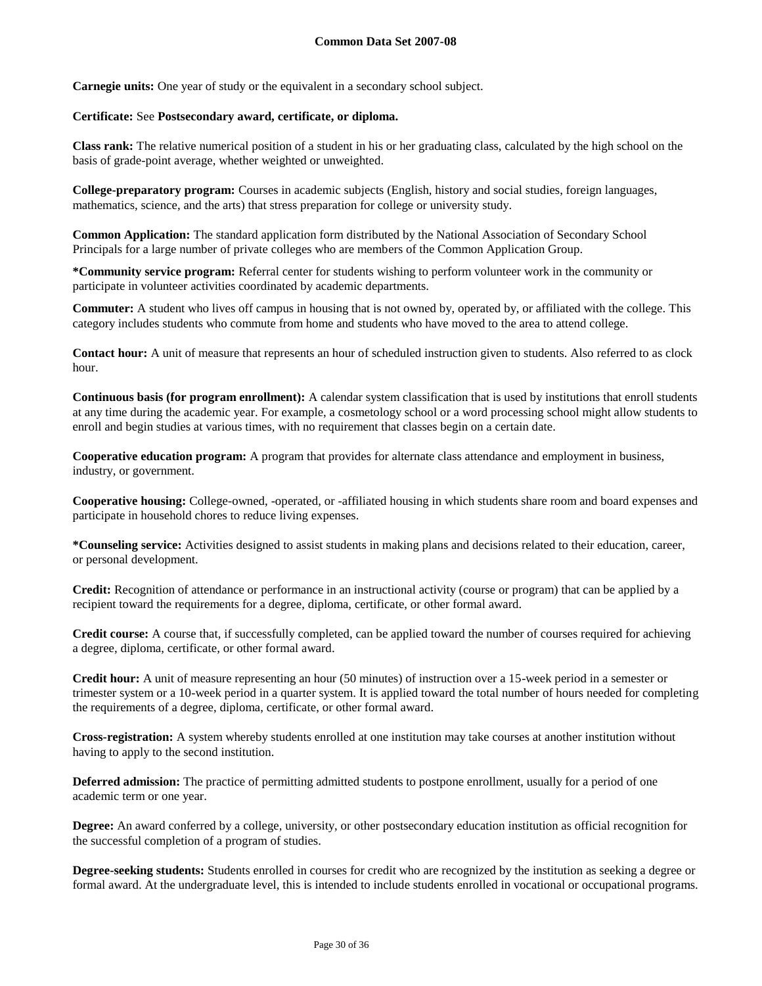**Carnegie units:** One year of study or the equivalent in a secondary school subject.

### **Certificate:** See **Postsecondary award, certificate, or diploma.**

**Class rank:** The relative numerical position of a student in his or her graduating class, calculated by the high school on the basis of grade-point average, whether weighted or unweighted.

**College-preparatory program:** Courses in academic subjects (English, history and social studies, foreign languages, mathematics, science, and the arts) that stress preparation for college or university study.

**Common Application:** The standard application form distributed by the National Association of Secondary School Principals for a large number of private colleges who are members of the Common Application Group.

**\*Community service program:** Referral center for students wishing to perform volunteer work in the community or participate in volunteer activities coordinated by academic departments.

**Commuter:** A student who lives off campus in housing that is not owned by, operated by, or affiliated with the college. This category includes students who commute from home and students who have moved to the area to attend college.

**Contact hour:** A unit of measure that represents an hour of scheduled instruction given to students. Also referred to as clock hour.

**Continuous basis (for program enrollment):** A calendar system classification that is used by institutions that enroll students at any time during the academic year. For example, a cosmetology school or a word processing school might allow students to enroll and begin studies at various times, with no requirement that classes begin on a certain date.

**Cooperative education program:** A program that provides for alternate class attendance and employment in business, industry, or government.

**Cooperative housing:** College-owned, -operated, or -affiliated housing in which students share room and board expenses and participate in household chores to reduce living expenses.

**\*Counseling service:** Activities designed to assist students in making plans and decisions related to their education, career, or personal development.

**Credit:** Recognition of attendance or performance in an instructional activity (course or program) that can be applied by a recipient toward the requirements for a degree, diploma, certificate, or other formal award.

**Credit course:** A course that, if successfully completed, can be applied toward the number of courses required for achieving a degree, diploma, certificate, or other formal award.

**Credit hour:** A unit of measure representing an hour (50 minutes) of instruction over a 15-week period in a semester or trimester system or a 10-week period in a quarter system. It is applied toward the total number of hours needed for completing the requirements of a degree, diploma, certificate, or other formal award.

**Cross-registration:** A system whereby students enrolled at one institution may take courses at another institution without having to apply to the second institution.

**Deferred admission:** The practice of permitting admitted students to postpone enrollment, usually for a period of one academic term or one year.

**Degree:** An award conferred by a college, university, or other postsecondary education institution as official recognition for the successful completion of a program of studies.

**Degree-seeking students:** Students enrolled in courses for credit who are recognized by the institution as seeking a degree or formal award. At the undergraduate level, this is intended to include students enrolled in vocational or occupational programs.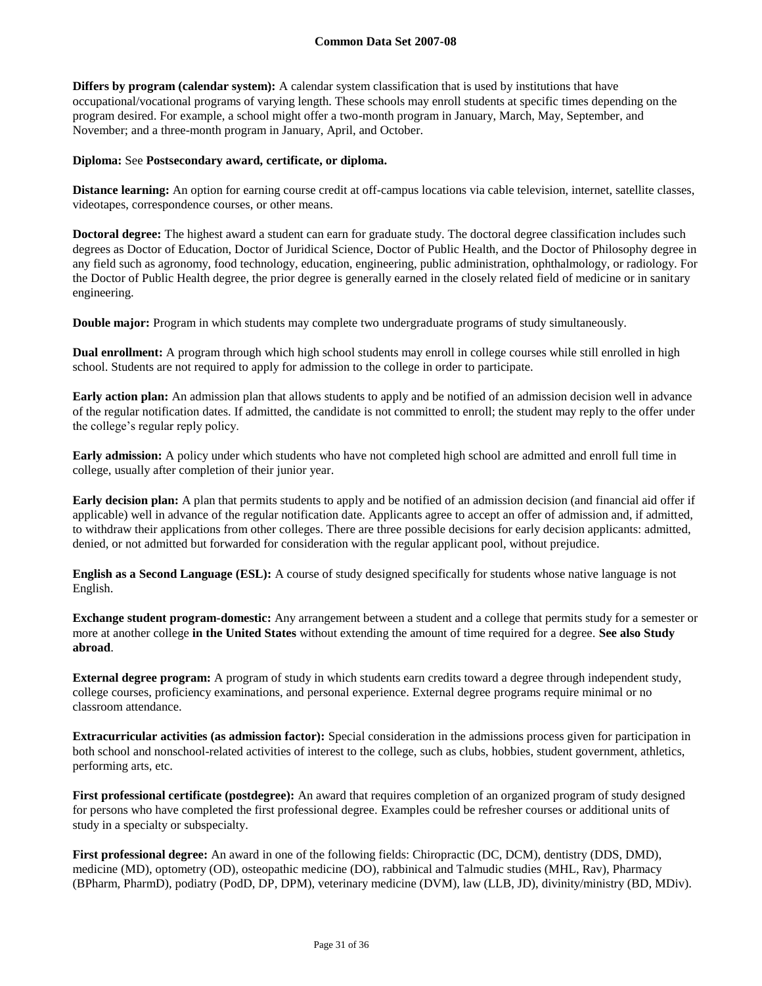**Differs by program (calendar system):** A calendar system classification that is used by institutions that have occupational/vocational programs of varying length. These schools may enroll students at specific times depending on the program desired. For example, a school might offer a two-month program in January, March, May, September, and November; and a three-month program in January, April, and October.

### **Diploma:** See **Postsecondary award, certificate, or diploma.**

**Distance learning:** An option for earning course credit at off-campus locations via cable television, internet, satellite classes, videotapes, correspondence courses, or other means.

**Doctoral degree:** The highest award a student can earn for graduate study. The doctoral degree classification includes such degrees as Doctor of Education, Doctor of Juridical Science, Doctor of Public Health, and the Doctor of Philosophy degree in any field such as agronomy, food technology, education, engineering, public administration, ophthalmology, or radiology. For the Doctor of Public Health degree, the prior degree is generally earned in the closely related field of medicine or in sanitary engineering.

**Double major:** Program in which students may complete two undergraduate programs of study simultaneously.

**Dual enrollment:** A program through which high school students may enroll in college courses while still enrolled in high school. Students are not required to apply for admission to the college in order to participate.

**Early action plan:** An admission plan that allows students to apply and be notified of an admission decision well in advance of the regular notification dates. If admitted, the candidate is not committed to enroll; the student may reply to the offer under the college's regular reply policy.

**Early admission:** A policy under which students who have not completed high school are admitted and enroll full time in college, usually after completion of their junior year.

**Early decision plan:** A plan that permits students to apply and be notified of an admission decision (and financial aid offer if applicable) well in advance of the regular notification date. Applicants agree to accept an offer of admission and, if admitted, to withdraw their applications from other colleges. There are three possible decisions for early decision applicants: admitted, denied, or not admitted but forwarded for consideration with the regular applicant pool, without prejudice.

**English as a Second Language (ESL):** A course of study designed specifically for students whose native language is not English.

**Exchange student program-domestic:** Any arrangement between a student and a college that permits study for a semester or more at another college **in the United States** without extending the amount of time required for a degree. **See also Study abroad**.

**External degree program:** A program of study in which students earn credits toward a degree through independent study, college courses, proficiency examinations, and personal experience. External degree programs require minimal or no classroom attendance.

**Extracurricular activities (as admission factor):** Special consideration in the admissions process given for participation in both school and nonschool-related activities of interest to the college, such as clubs, hobbies, student government, athletics, performing arts, etc.

**First professional certificate (postdegree):** An award that requires completion of an organized program of study designed for persons who have completed the first professional degree. Examples could be refresher courses or additional units of study in a specialty or subspecialty.

**First professional degree:** An award in one of the following fields: Chiropractic (DC, DCM), dentistry (DDS, DMD), medicine (MD), optometry (OD), osteopathic medicine (DO), rabbinical and Talmudic studies (MHL, Rav), Pharmacy (BPharm, PharmD), podiatry (PodD, DP, DPM), veterinary medicine (DVM), law (LLB, JD), divinity/ministry (BD, MDiv).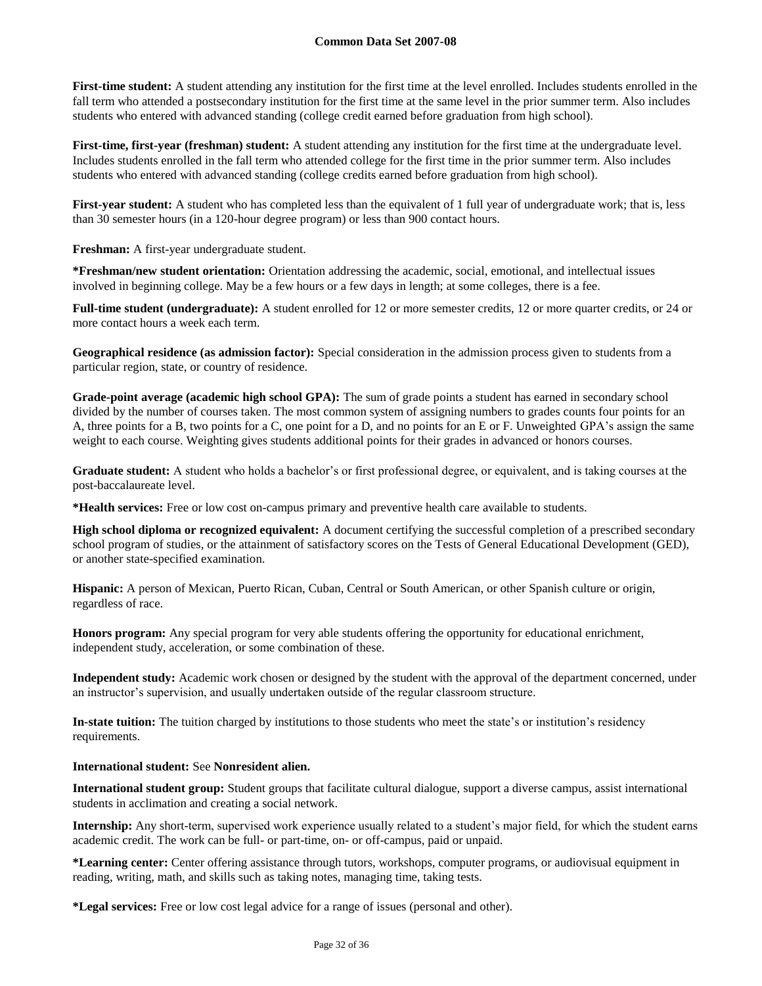First-time student: A student attending any institution for the first time at the level enrolled. Includes students enrolled in the fall term who attended a postsecondary institution for the first time at the same level in the prior summer term. Also includes students who entered with advanced standing (college credit earned before graduation from high school).

**First-time, first-year (freshman) student:** A student attending any institution for the first time at the undergraduate level. Includes students enrolled in the fall term who attended college for the first time in the prior summer term. Also includes students who entered with advanced standing (college credits earned before graduation from high school).

First-year student: A student who has completed less than the equivalent of 1 full year of undergraduate work; that is, less than 30 semester hours (in a 120-hour degree program) or less than 900 contact hours.

**Freshman:** A first-year undergraduate student.

**\*Freshman/new student orientation:** Orientation addressing the academic, social, emotional, and intellectual issues involved in beginning college. May be a few hours or a few days in length; at some colleges, there is a fee.

**Full-time student (undergraduate):** A student enrolled for 12 or more semester credits, 12 or more quarter credits, or 24 or more contact hours a week each term.

**Geographical residence (as admission factor):** Special consideration in the admission process given to students from a particular region, state, or country of residence.

**Grade-point average (academic high school GPA):** The sum of grade points a student has earned in secondary school divided by the number of courses taken. The most common system of assigning numbers to grades counts four points for an A, three points for a B, two points for a C, one point for a D, and no points for an E or F. Unweighted GPA's assign the same weight to each course. Weighting gives students additional points for their grades in advanced or honors courses.

**Graduate student:** A student who holds a bachelor's or first professional degree, or equivalent, and is taking courses at the post-baccalaureate level.

**\*Health services:** Free or low cost on-campus primary and preventive health care available to students.

**High school diploma or recognized equivalent:** A document certifying the successful completion of a prescribed secondary school program of studies, or the attainment of satisfactory scores on the Tests of General Educational Development (GED), or another state-specified examination.

**Hispanic:** A person of Mexican, Puerto Rican, Cuban, Central or South American, or other Spanish culture or origin, regardless of race.

**Honors program:** Any special program for very able students offering the opportunity for educational enrichment, independent study, acceleration, or some combination of these.

**Independent study:** Academic work chosen or designed by the student with the approval of the department concerned, under an instructor's supervision, and usually undertaken outside of the regular classroom structure.

**In-state tuition:** The tuition charged by institutions to those students who meet the state's or institution's residency requirements.

# **International student:** See **Nonresident alien.**

**International student group:** Student groups that facilitate cultural dialogue, support a diverse campus, assist international students in acclimation and creating a social network.

**Internship:** Any short-term, supervised work experience usually related to a student's major field, for which the student earns academic credit. The work can be full- or part-time, on- or off-campus, paid or unpaid.

**\*Learning center:** Center offering assistance through tutors, workshops, computer programs, or audiovisual equipment in reading, writing, math, and skills such as taking notes, managing time, taking tests.

**\*Legal services:** Free or low cost legal advice for a range of issues (personal and other).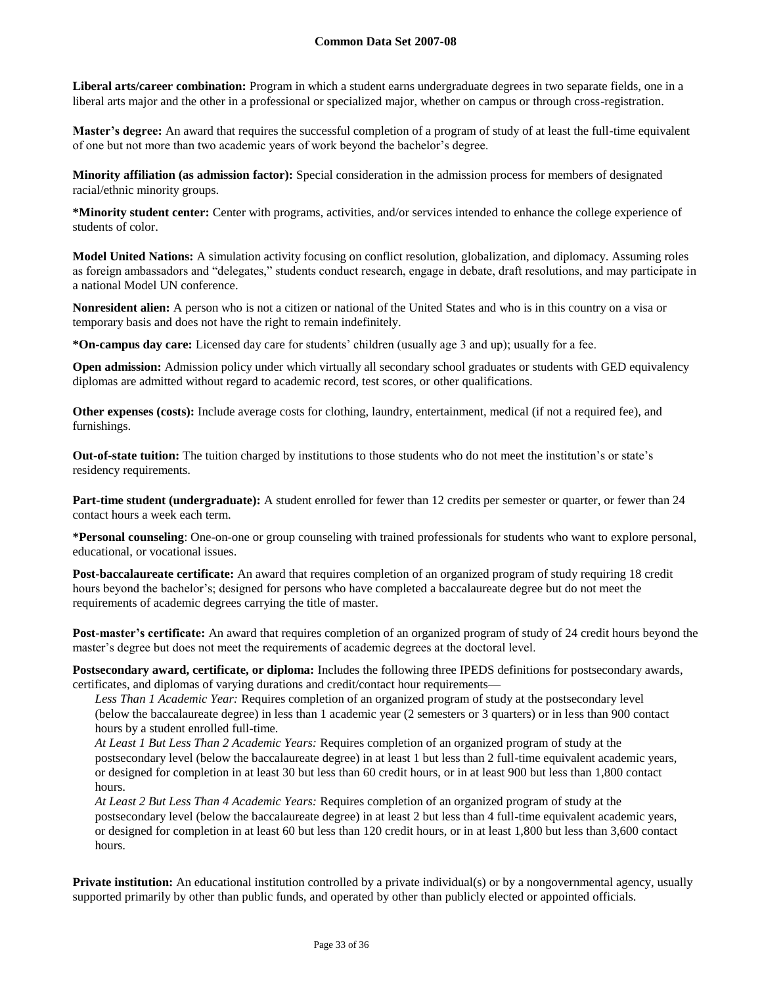**Liberal arts/career combination:** Program in which a student earns undergraduate degrees in two separate fields, one in a liberal arts major and the other in a professional or specialized major, whether on campus or through cross-registration.

**Master's degree:** An award that requires the successful completion of a program of study of at least the full-time equivalent of one but not more than two academic years of work beyond the bachelor's degree.

**Minority affiliation (as admission factor):** Special consideration in the admission process for members of designated racial/ethnic minority groups.

**\*Minority student center:** Center with programs, activities, and/or services intended to enhance the college experience of students of color.

**Model United Nations:** A simulation activity focusing on conflict resolution, globalization, and diplomacy. Assuming roles as foreign ambassadors and "delegates," students conduct research, engage in debate, draft resolutions, and may participate in a national Model UN conference.

**Nonresident alien:** A person who is not a citizen or national of the United States and who is in this country on a visa or temporary basis and does not have the right to remain indefinitely.

**\*On-campus day care:** Licensed day care for students' children (usually age 3 and up); usually for a fee.

**Open admission:** Admission policy under which virtually all secondary school graduates or students with GED equivalency diplomas are admitted without regard to academic record, test scores, or other qualifications.

**Other expenses (costs):** Include average costs for clothing, laundry, entertainment, medical (if not a required fee), and furnishings.

**Out-of-state tuition:** The tuition charged by institutions to those students who do not meet the institution's or state's residency requirements.

**Part-time student (undergraduate):** A student enrolled for fewer than 12 credits per semester or quarter, or fewer than 24 contact hours a week each term.

**\*Personal counseling**: One-on-one or group counseling with trained professionals for students who want to explore personal, educational, or vocational issues.

**Post-baccalaureate certificate:** An award that requires completion of an organized program of study requiring 18 credit hours beyond the bachelor's; designed for persons who have completed a baccalaureate degree but do not meet the requirements of academic degrees carrying the title of master.

**Post-master's certificate:** An award that requires completion of an organized program of study of 24 credit hours beyond the master's degree but does not meet the requirements of academic degrees at the doctoral level.

**Postsecondary award, certificate, or diploma:** Includes the following three IPEDS definitions for postsecondary awards, certificates, and diplomas of varying durations and credit/contact hour requirements—

*Less Than 1 Academic Year:* Requires completion of an organized program of study at the postsecondary level (below the baccalaureate degree) in less than 1 academic year (2 semesters or 3 quarters) or in less than 900 contact hours by a student enrolled full-time.

*At Least 1 But Less Than 2 Academic Years:* Requires completion of an organized program of study at the postsecondary level (below the baccalaureate degree) in at least 1 but less than 2 full-time equivalent academic years, or designed for completion in at least 30 but less than 60 credit hours, or in at least 900 but less than 1,800 contact hours.

*At Least 2 But Less Than 4 Academic Years:* Requires completion of an organized program of study at the postsecondary level (below the baccalaureate degree) in at least 2 but less than 4 full-time equivalent academic years, or designed for completion in at least 60 but less than 120 credit hours, or in at least 1,800 but less than 3,600 contact hours.

**Private institution:** An educational institution controlled by a private individual(s) or by a nongovernmental agency, usually supported primarily by other than public funds, and operated by other than publicly elected or appointed officials.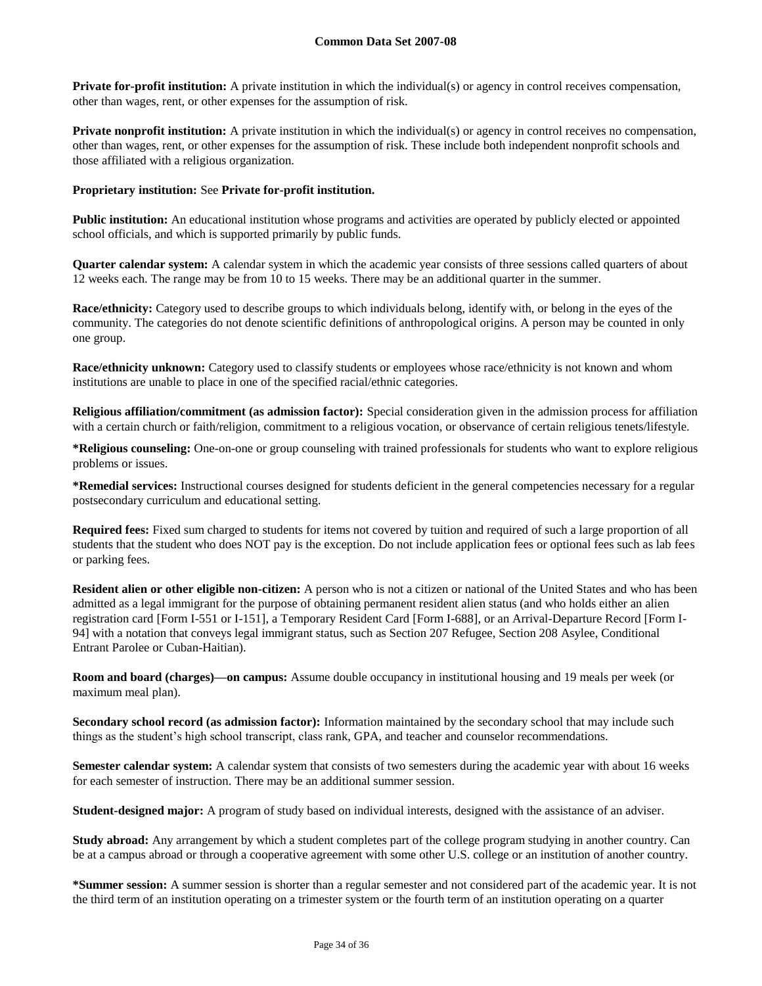**Private for-profit institution:** A private institution in which the individual(s) or agency in control receives compensation, other than wages, rent, or other expenses for the assumption of risk.

**Private nonprofit institution:** A private institution in which the individual(s) or agency in control receives no compensation, other than wages, rent, or other expenses for the assumption of risk. These include both independent nonprofit schools and those affiliated with a religious organization.

### **Proprietary institution:** See **Private for-profit institution.**

**Public institution:** An educational institution whose programs and activities are operated by publicly elected or appointed school officials, and which is supported primarily by public funds.

**Quarter calendar system:** A calendar system in which the academic year consists of three sessions called quarters of about 12 weeks each. The range may be from 10 to 15 weeks. There may be an additional quarter in the summer.

**Race/ethnicity:** Category used to describe groups to which individuals belong, identify with, or belong in the eyes of the community. The categories do not denote scientific definitions of anthropological origins. A person may be counted in only one group.

**Race/ethnicity unknown:** Category used to classify students or employees whose race/ethnicity is not known and whom institutions are unable to place in one of the specified racial/ethnic categories.

**Religious affiliation/commitment (as admission factor):** Special consideration given in the admission process for affiliation with a certain church or faith/religion, commitment to a religious vocation, or observance of certain religious tenets/lifestyle.

**\*Religious counseling:** One-on-one or group counseling with trained professionals for students who want to explore religious problems or issues.

**\*Remedial services:** Instructional courses designed for students deficient in the general competencies necessary for a regular postsecondary curriculum and educational setting.

**Required fees:** Fixed sum charged to students for items not covered by tuition and required of such a large proportion of all students that the student who does NOT pay is the exception. Do not include application fees or optional fees such as lab fees or parking fees.

**Resident alien or other eligible non-citizen:** A person who is not a citizen or national of the United States and who has been admitted as a legal immigrant for the purpose of obtaining permanent resident alien status (and who holds either an alien registration card [Form I-551 or I-151], a Temporary Resident Card [Form I-688], or an Arrival-Departure Record [Form I-94] with a notation that conveys legal immigrant status, such as Section 207 Refugee, Section 208 Asylee, Conditional Entrant Parolee or Cuban-Haitian).

**Room and board (charges)—on campus:** Assume double occupancy in institutional housing and 19 meals per week (or maximum meal plan).

**Secondary school record (as admission factor):** Information maintained by the secondary school that may include such things as the student's high school transcript, class rank, GPA, and teacher and counselor recommendations.

**Semester calendar system:** A calendar system that consists of two semesters during the academic year with about 16 weeks for each semester of instruction. There may be an additional summer session.

**Student-designed major:** A program of study based on individual interests, designed with the assistance of an adviser.

**Study abroad:** Any arrangement by which a student completes part of the college program studying in another country. Can be at a campus abroad or through a cooperative agreement with some other U.S. college or an institution of another country.

**\*Summer session:** A summer session is shorter than a regular semester and not considered part of the academic year. It is not the third term of an institution operating on a trimester system or the fourth term of an institution operating on a quarter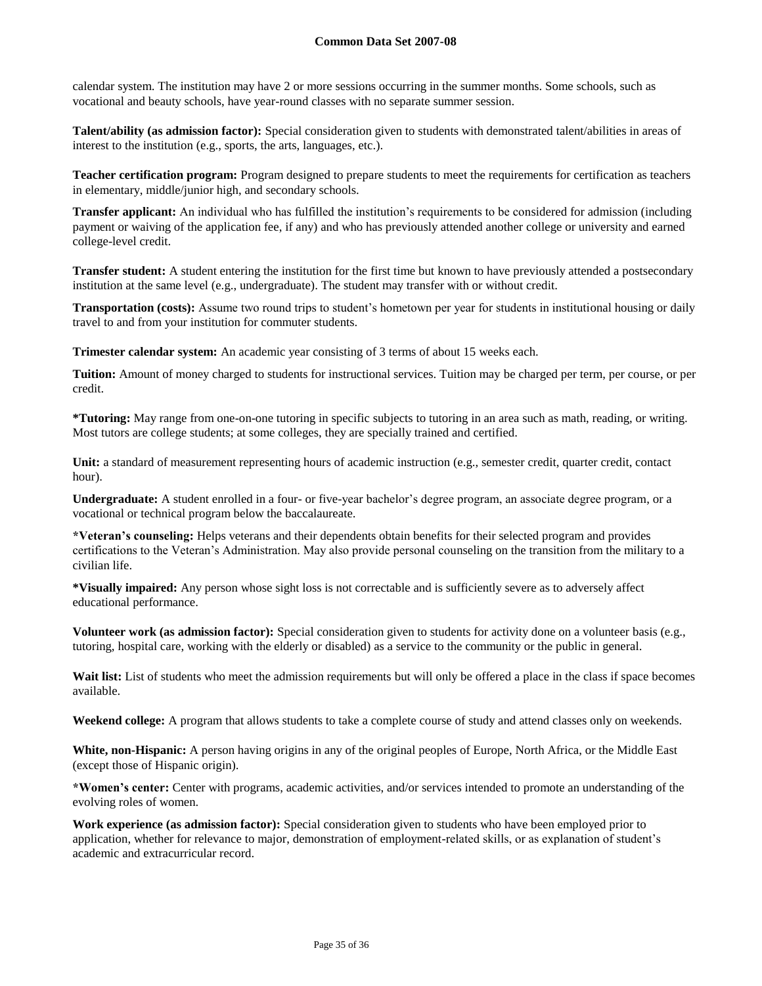calendar system. The institution may have 2 or more sessions occurring in the summer months. Some schools, such as vocational and beauty schools, have year-round classes with no separate summer session.

**Talent/ability (as admission factor):** Special consideration given to students with demonstrated talent/abilities in areas of interest to the institution (e.g., sports, the arts, languages, etc.).

**Teacher certification program:** Program designed to prepare students to meet the requirements for certification as teachers in elementary, middle/junior high, and secondary schools.

**Transfer applicant:** An individual who has fulfilled the institution's requirements to be considered for admission (including payment or waiving of the application fee, if any) and who has previously attended another college or university and earned college-level credit.

**Transfer student:** A student entering the institution for the first time but known to have previously attended a postsecondary institution at the same level (e.g., undergraduate). The student may transfer with or without credit.

**Transportation (costs):** Assume two round trips to student's hometown per year for students in institutional housing or daily travel to and from your institution for commuter students.

**Trimester calendar system:** An academic year consisting of 3 terms of about 15 weeks each.

**Tuition:** Amount of money charged to students for instructional services. Tuition may be charged per term, per course, or per credit.

**\*Tutoring:** May range from one-on-one tutoring in specific subjects to tutoring in an area such as math, reading, or writing. Most tutors are college students; at some colleges, they are specially trained and certified.

Unit: a standard of measurement representing hours of academic instruction (e.g., semester credit, quarter credit, contact hour).

**Undergraduate:** A student enrolled in a four- or five-year bachelor's degree program, an associate degree program, or a vocational or technical program below the baccalaureate.

**\*Veteran's counseling:** Helps veterans and their dependents obtain benefits for their selected program and provides certifications to the Veteran's Administration. May also provide personal counseling on the transition from the military to a civilian life.

**\*Visually impaired:** Any person whose sight loss is not correctable and is sufficiently severe as to adversely affect educational performance.

**Volunteer work (as admission factor):** Special consideration given to students for activity done on a volunteer basis (e.g., tutoring, hospital care, working with the elderly or disabled) as a service to the community or the public in general.

Wait list: List of students who meet the admission requirements but will only be offered a place in the class if space becomes available.

**Weekend college:** A program that allows students to take a complete course of study and attend classes only on weekends.

**White, non-Hispanic:** A person having origins in any of the original peoples of Europe, North Africa, or the Middle East (except those of Hispanic origin).

**\*Women's center:** Center with programs, academic activities, and/or services intended to promote an understanding of the evolving roles of women.

**Work experience (as admission factor):** Special consideration given to students who have been employed prior to application, whether for relevance to major, demonstration of employment-related skills, or as explanation of student's academic and extracurricular record.